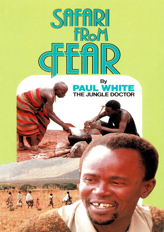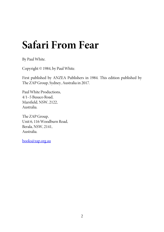# **Safari From Fear**

By Paul White.

[Copyright](mailto:books@zap.org.au) © 1984, by Paul White.

First published by ANZEA Publishers in 1984. This edition published by The ZAP Group, Sydney, Australia in 2017.

Paul White Productions, 4/1–5 Busaco Road, Marsfield, NSW, 2122, Australia.

The ZAP Group, Unit 6, 116 Woodburn Road, Berala, NSW, 2141, Australia.

books@zap.org.au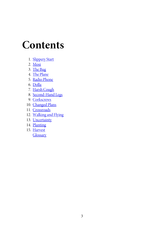# **C[onten](#page-106-0)[ts](#page-97-0)**

- 1. [Slippery](#page-130-0) Start
- $2. M$ osi
- 3. The Bug
- 4. The Plane
- 5. Radio Phone
- 6. Dolla
- 7. Harsh Cough
- 8. Second-Hand Legs
- 9. Corkscrews
- 10. Changed Plans
- 11. Crossroads
- 12. Walking and Flying
- 13. Uncertainty
- 14. Planting
- 15. Harvest

**Glossary**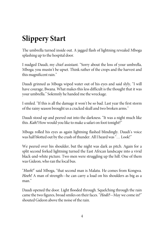## **Slippery Start**

The umbrella turned inside out. A jagged flash of lightning revealed Mboga splashing up to the hospital door.

I nudged Daudi, my chief assistant. "Sorry about the loss of your umbrella, Mboga; you mustn't be upset. Think rather of the crops and the harvest and this magnificent rain."

Daudi grinned as Mboga wiped water out of his eyes and said slyly, "I will have courage, Bwana. What makes this less difficult is the thought that it was your umbrella." Solemnly he handed methe wreckage.

I smiled. "If this is all the damage it won't be so bad. Last year the first storm of the rainy season brought us a cracked skull and two broken arms."

Daudi stood up and peered out into the darkness. "It was a night much like this. Kah! How would you like to make a safari on foot tonight?"

Mboga rolled his eyes as again lightning flashed blindingly. Daudi's voice was half blotted out by the crash of thunder. All I heard was "... Look!"

We peered over his shoulder, but the night was dark as pitch. Again for a split second forked lightning turned the East African landscape into a vivid black-and-white picture. Two men were struggling up the hill. One of them was Gideon, who ran the local bus.

"Heeh!" said Mboga, "that second man is Malatu. He comes from Kongwa. Heeh! A man of strength—he can carry a load on his shoulders as big as a man<sup>"</sup>

Daudi opened the door. Light flooded through. Squelching through the rain came the two figures, broad smiles on their faces. "Hodi?-May we come in?" shouted Gideon above the noise of the rain.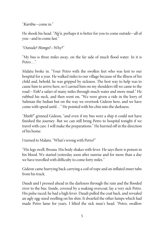$K$ *aribu*—come in."

He shook his head. "Ng'o, perhaps it is better for you to come outside—all of you—and to comefast."

"Outside? Hongo!—Why?"

"My bus is three miles away, on the far side of much flood water. In it is Petro…"

Malatu broke in. "Your Petro with the swollen feet who was lent to our hospital for a year. He walked miles to our village because of the illness of his child and, behold, he was gripped by sickness. The best way to help was to cause him to arrive here, so I carried him on my shoulders till we came to the road—Yoh! a safari of many miles through much water and more mud." He rubbed his neck, and then went on, "We were given a ride in the lorry of Suliman the Indian but on the way we overtook Gideon here, and we have come with speed until…" He pointed with hischin into the darkness.

"Heeh!" grinned Gideon, "and even if my bus were a ship it could not have finished the journey. But we can still bring Petro to hospital tonight if we travel with care. I will make the preparations." He hurried off in the direction of his home.

I turned to Malatu. "What's wrong with Petro?"

"His legs swell, Bwana. His body shakes with fever. He says there is poison in his blood. We started yesterday soon after sunrise and for more than a day we have travelled with difficulty to come forty miles."

Gideon came hurrying back carrying a coil of rope and an inflated inner tube from his truck.

Daudi and I pressed ahead in the darkness through the rain and the flooded river to the bus. Inside, covered by a soaking overcoat, lay a very sick Petro. His pulse raced; he had a high fever. Daudi pulled the coat back, and revealed an ugly egg-sized swelling on his shin. It dwarfed the other lumps which had made Petro lame for years. I lifted the sick man's head. "Petro, swallow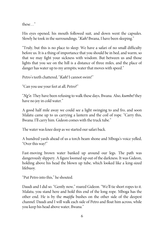these…"

His eyes opened, his mouth followed suit, and down went the capsules. Slowly he took in the surroundings. "Kah! Bwana, I have been sleeping."

"Truly, but this is no place to sleep. We have a safari of no small difficulty before us. It is a thing of importance that you should be in bed, and warm, so that we may fight your sickness with wisdom. But between us and those lights that you see on the hill is a distance of three miles, and the place of danger has water up to my armpits; water that moves with speed."

Petro's teeth chattered, "Kah! I cannot swim!"

"Can you use your feet at all, Petro?"

"Ng'o. They have been refusing to walk these days, Bwana. Also, kumbe! they have no joy in cold water."

A good half mile away we could see a light swinging to and fro, and soon Malatu came up to us carrying a lantern and the coil of rope. "Carry this, Bwana. I'll carry him. Gideon comes with the truck tube."

The water was knee deep as we started our safari back.

A hundred yards ahead of us a torch beam shone and Mboga's voice yelled, "Over this way!"

Fast-moving brown water banked up around our legs. The path was dangerously slippery. A figure loomed up out of the darkness. It was Gideon, holding above his head the blown up tube, which looked like a king-sized lifebuoy.

"Put Petro into this," heshouted.

Daudi and I did so. "Gently now," roared Gideon. "We'll tie short ropes to it. Malatu, you stand here and hold this end of the long rope. Mboga has the other end. He is by the majifu bushes on the other side of the deepest channel. Daudi and I will walk each side of Petro and float him across, while you keep his head above water, Bwana."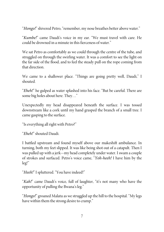"Hongo!" shivered Petro, "remember, my nose breathes better above water."

"Kumbe!" came Daudi's voice in my ear. "We must travel with care. He could be drowned in a minute in this fierceness of water."

We sat Petro as comfortably as we could through the centre of the tube, and struggled on through the swirling water. It was a comfort to see the light on the far side of the flood, and to feel the steady pull on the rope coming from that direction.

We came to a shallower place. "Things are going pretty well, Daudi," I shouted.

"Eheh!" he gulped as water splashed into his face. "But be careful. There are some big holes about here. They…"

Unexpectedly my head disappeared beneath the surface. I was tossed downstream like a cork until my hand grasped the branch of a small tree. I came gasping to the surface.

"Is everything all right with Petro?"

"Eheh!" shouted Daudi.

I battled upstream and found myself above our makeshift ambulance. In turning, both my feet slipped. It was like being shot out of a catapult. Then I was pulled up with a jerk—my head completely under water. I swam a couple of strokes and surfaced. Petro's voice came, "Yoh-heeh! I have him by the leg!"

"Heeh!" I spluttered. "You have indeed!"

"Kah!" came Daudi's voice, full of laughter, "it's not many who have the opportunity of pulling the Bwana's leg."

"Hongo!" groaned Malatu as we struggled up the hill to the hospital. "My legs have within them the strong desire to cramp."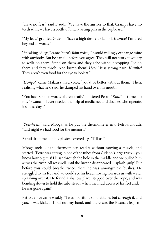"Have no fear," said Daudi. "We have the answer to that. Cramps have no teeth while we have a bottle of bitter-tasting pills in the cupboard."

"My legs," grunted Gideon, "have a high desire to fall off. Kumbe! I'm tired beyond all words."

"Speaking of legs,"came Petro's faint voice, "I would willingly exchange mine with anybody. But be careful before you agree. They will not work if you try to walk on them. Stand on them and they ache without stopping. Lie on them and they throb. And bump them! Heeh! It is strong pain. Kumbe! They aren't even food for the eye to look at."

"Hongo!" came Malatu's tired voice, "you'd be better without them." Then, realising what he'd said, heclamped his hand over his mouth.

"You have spoken words of great truth," muttered Petro. "Koh!" he turned to me, "Bwana, if I ever needed the help of medicines and doctors who operate, it's these days."

"Yoh-heeh!" said Mboga, as he put the thermometer into Petro's mouth. "Last night we had food for the memory."

Baruti drummed on his plaster-covered leg. "Tell us."

Mboga took out the thermometer, read it without moving a muscle, and started. "Petro was sitting in one of the tubes from Gideon's large truck—you know how big it is! He sat through the hole in the middle and we pulled him across the river. All was well until the Bwana disappeared... splash! gulp! But before you could breathe twice, there he was amongst the bushes. He struggled to his feet and wecould see his head moving towards us with water splashing over it. He found a shallow place, stepped over the rope, and was bending down to hold the tube steady when the mud deceived his feet and… he was gone again!"

Petro's voice came weakly, "I was not sitting on that tube, but through it, and yoh! I was kicked! I put out my hand, and there was the Bwana's leg, so I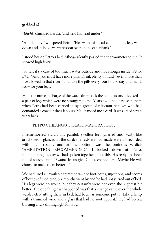#### grabbed it!"

"Eheh!" chuckled Baruti, "and held his head under?"

"A little only," whispered Petro. "He swam, his head came up, his legs went down and, behold, we were soon over on the other bank."

I stood beside Petro's bed. Mboga silently passed the thermometer to me. It showed high fever.

"So far, it's a case of too much water outside and not enough inside, Petro. Eheh! And you must have more pills. Drink plenty of fluid—even more than I swallowed in that river—and take the pills every four hours, day and night. Now for your legs."

Mali, the nurse in charge of the ward, drew back the blankets, and I looked at a pair of legs which were no strangers to me. Years ago I had first seen them when Petro had been carried in by a group of reluctant relatives who had demanded a cow for their labours. Mali handed me a card. It was dated seven years back:

PETRO CHILANGO. DISEASE: MADURA FOOT.

I remembered vividly his painful, swollen feet, gnarled and warty like artichokes. I glanced at the card; the tests we had made were all recorded with their results, and at the bottom was the ominous verdict: "AMPUTATION RECOMMENDED." I looked down at Petro, remembering the day we had spoken together about this. His reply had been full of steady faith, "Bwana, let us give God a chance first. Maybe He will chooseto makethem better…"

We had used all available treatments—hot foot-baths, injections, and scores of bottles of medicine. Six months went by and he had not stirred out of bed. His legs were no worse, but they certainly were not even the slightest bit better. The one thing that happened was that a change came over the whole ward. Petro, sitting there in bed, had been, as someone put it, "Like a lamp with a trimmed wick, and a glass that had no soot upon it." He had been a burning and a shining light for God.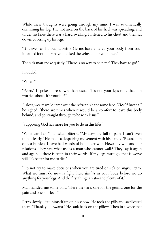While these thoughts were going through my mind I was automatically examining his leg. The hot area on the back of his heel was spreading, and under his knee there was a hard swelling. I listened to his chest and then sat down, covering up his legs.

"It is even as I thought, Petro. Germs have entered your body from your inflamed foot. They have attacked the veins under your knee."

The sick man spoke quietly, "There is no way to help me? They have to go?"

I nodded.

"When?"

"Petro," I spoke more slowly than usual, "it's not your legs only that I'm worried about; it's your life!"

A slow, weary smile came over the African's handsome face. "Heeh! Bwana!" he sighed, "there are times when it would be a comfort to leave this body behind, and go straight through to be with Jesus."

"Supposing God has more for you to do in this life?"

"What can I do?" he asked bitterly. "My days are full of pain. I can't even think clearly." He made a despairing movement with his hands. "Bwana, I'm only a burden. I have had words of hot anger with Hewa my wife and her relations. They say, what use is a man who cannot walk? They say it again and again… there is truth in their words! If my legs must go, that is worse still. It's better for meto die."

"Do not try to make decisions when you are tired or sick or angry, Petro. What we must do now is fight these *dudus* in your body before we do anything for your legs. And the first thing is rest—and plenty of it."

Mali handed me some pills. "Here they are, one for the germs, one for the pain and one for sleep."

Petro slowly lifted himself up on his elbow. He took the pills and swallowed them. "Thank you, Bwana." He sank back on the pillow. Then in a voice that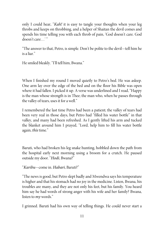only I could hear, "*Kah!* it is easy to tangle your thoughts when your leg throbs and keeps on throbbing, and a helper of Shaitan the devil comes and spends his time telling you with each throb of pain, 'God doesn't care. God doesn't care…"

"The answer to that, Petro, is simple. Don't be polite to the devil—tell him he is a liar."

He smiled bleakly. "I'll tell him, Bwana."

When I finished my round I moved quietly to Petro's bed. He was asleep. One arm lay over the edge of the bed and on the floor his Bible was open where it had fallen. I picked it up. A verse was underlined and I read, "Happy is the man whose strength is in Thee; the man who, when he passes through the valley of tears, uses it for a well."

I remembered the last time Petro had been a patient; the valley of tears had been very real in those days, but Petro had "filled his water bottle" in that valley, and many had been refreshed. As I gently lifted his arm and tucked the blanket around him I prayed, "Lord, help him to fill his water bottle again, this time."

Baruti, who had broken his leg snake hunting, hobbled down the path from the hospital early next morning using a broom for a crutch. He paused outside my door. "Hodi, Bwana?"

"Karibu—come in. Habari, Baruti?"

"The news is good, but Petro slept badly and Mwendwa says his temperature is higher and that his stomach had no joy in the medicine. Listen, Bwana, his troubles are many, and they are not only his feet, but his family. You heard him say he had words of strong anger with his wife and her family? Bwana, listen to *my* words."

I grinned. Baruti had his own way of telling things. He could never start a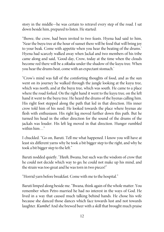story in the middle—he was certain to retravel every step of the road. I sat down beside him, prepared to listen. He started:

"Ihowe, the crow, had been invited to two feasts. Hyena had said to him, 'Near the buyu tree at the hour of sunset there will be food that will bring joy to your beak. Come with appetite when you hear the beating of the drums.' Hyena had scarcely walked away when Jackal and two members of his tribe came along and said, 'Good-day, Crow, today at the time when the clouds become red there will be a sikuku under the shadow of the kuyu tree. When you hear the drums beat, come with an expectant stomach.'

"Crow's mind was full of the comforting thoughts of food, and as the sun went on its journey he walked through the jungle looking at the kuyu tree, which was north, and at the buyu tree, which was south. He came to a place where the road forked. On the right hand it went to the kuyu tree, on the left hand it went to the buyu tree. He heard the drums of the hyenas calling him. His right foot stepped along the path that led in that direction. His inner crow told him of his need. He looked towards the place where hyenas ate flesh with enthusiasm. His right leg moved further down this path. But he turned his head in the other direction for the sound of the drums of the jackals was louder. His left leg moved in that direction. Hunger rumbled within him…"

I chuckled. "Go on, Baruti. Tell me what happened. I know you will have at least six different yarns why he took a bit bigger step to the right, and why he took a bit bigger step to the left."

Baruti nodded quietly. "Heeh, Bwana, but such was the wisdom of crow that he could not decide which way to go; he could not make up his mind, and the strain was too great and he was torn in two pieces!"

"Horrid yarn before breakfast. Come with meto the hospital."

Baruti limped along beside me. "Bwana, think again of the whole matter. You remember when Petro married he had no interest in the ways of God. He lived in a way that caused much talking behind hands. He chose his wife because she danced those dances which face towards lust and not towards laughter. *Kumbe!* And she brewed beer with a skill that brought much praise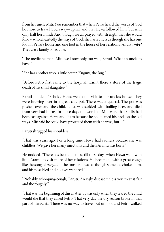from her uncle Miti. You remember that when Petro heard the words of God he chose to travel God's way—uphill, and that Hewa followed him, but with only half her mind? And though we all prayed with strength that she would follow wholeheartedly the ways of God, she hasn't. It is as though she has one foot in Petro's house and one foot in the house of her relations. And *kumbe!* They are a family of trouble."

"The medicine man, Miti, we know only too well, Baruti. What an uncle to have!"

"She has another who is little better, Kuguni, the Bug."

"Before Petro first came to the hospital, wasn't there a story of the tragic death of his small daughter?"

Baruti nodded. "Behold, Hewa went on a visit to her uncle's house. They were brewing beer in a great clay pot. There was a quarrel. The pot was pushed over and the child, Lutu, was scalded with boiling beer, and died from very bad burns. In those days the words of Miti were that spells had been cast against Hewa and Petro because he had turned his back on the old ways. Miti said he could have protected them with charms, but..."

Baruti shrugged his shoulders.

"That was years ago. For a long time Hewa had sadness because she was childless. We gave her many injections and then Aramu was born."

He nodded. "There has been quietness till these days when Hewa went with little Aramu to visit more of her relations. He became ill with a great cough like the song of *nzogolo*—the rooster; it was as though someone choked him, and his nose bled and his eyes went red."

"Probably whooping-cough, Baruti. An ugly disease unless you treat it fast and thoroughly."

"That was the beginning of this matter. It was only when they feared thechild would die that they called Petro. That very day the dry season broke in that part of Tanzania. There was no way to travel but on foot and Petro walked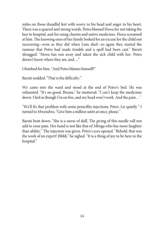miles on those dreadful feet with worry in his head and anger in his heart. There was a quarrel and strong words. Petro blamed Hewa for not taking the boy to hospital, and for using charms and native medicines. Hewa screamed at him. The knowing ones of her family looked for an excuse for the child not recovering—even as they did when Lutu died—so again they started the rumour that Petro had made trouble and a spell had been cast." Baruti shrugged. "Hewa has run away and taken the sick child with her. Petro doesn't know where they are, and…"

I finished for him, "And Petro blames himself?"

Baruti nodded. "That is the difficulty."

We came into the ward and stood at the end of Petro's bed. He was exhausted. "It's no good, Bwana," he muttered, "I can't keep the medicines down. I feel as though I'm on fire, and my head won't work. And the pain…"

"We'll fix that problem with some penicillin injections, Petro. Lie quietly." I turned to Mwendwa. "Give him a million units at once, please."

Baruti bent down. "She is a nurse of skill. The giving of this needle will not add to your pain. Her hand is not like that of Mboga who has more laughter than ability." The injection was given. Petro's eyes opened. "Behold, that was the work of an expert! Ehhh," he sighed. "It is a thing of joy to be here in the hospital."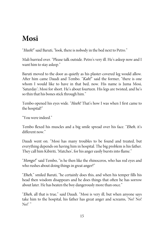#### **Mosi**

"Heeh!" said Baruti, "look, there is nobody in the bed next to Petro."

Mali hurried over. "Please talk outside. Petro's very ill. He's asleep now and I want him to stay asleep."

Baruti moved to the door as quietly as his plaster-covered leg would allow. After him came Daudi and Tembo. "Kah!" said the former, "there is one whom I would like to have in that bed, now. His name is Juma Mosi, 'Saturday'; Mosi for short. He's about fourteen. His legs are twisted, and he's so thin that his bones stick through him."

Tembo opened his eyes wide. "Heeh! That's how I was when I first came to the hospital!"

"You wereindeed."

Tembo flexed his muscles and a big smile spread over his face. "Eheh, it's different now."

Daudi went on. "Mosi has many troubles to be found and treated, but everything depends on having him in hospital. The big problem is his father. They call him Kibiriti, 'Matches', for his anger easily bursts into flame."

"Hongo!" said Tembo, "is he then like the rhinoceros, who has red eyes and who rushes about doing things in great anger?"

"*Eheh*," smiled Baruti, "he certainly does this, and when his temper fills his head then wisdom disappears and he does things that often he has sorrow about later. He has beaten the boy dangerously more than once."

"Eheh, all that is true," said Daudi. "Mosi is very ill, but when anyone says take him to the hospital, his father has great anger and screams, 'No! No! No!'"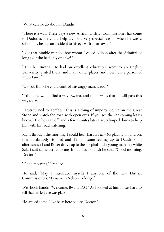"What can we do about it, Daudi?"

"There is a way. These days a new African District Commissioner has come to Dodoma. He could help us, for a very special reason: when he was a schoolboy he had an accident to his eye with an arrow..."

"Not that nimble-minded boy whom I called Nelson after the Admiral of long ago who had only one eye?"

"It is he, Bwana. He had an excellent education, went to an English University, visited India, and many other places, and now he is a person of importance."

"Do you think hecould control this angry man, Daudi?"

"I think he would find a way, Bwana, and the news is that he will pass this way today."

Baruti turned to Tembo. "This is a thing of importance. Sit on the Great Stone and watch the road with open eyes. If you see the car coming let us know." The boy ran off, and a few minutes later Baruti limped down to help him with his road watching.

Right through the morning I could hear Baruti's *ilimba* playing on and on, then it abruptly stopped and Tembo came tearing up to Daudi. Soon afterwards a Land Rover drove up to the hospital and a young man in a white Safari suit came across to me. In faultless English he said, "Good morning, Doctor."

"Good morning," I replied.

He said, "May I introduce myself? I am one of the new District Commissioners. My name is Nelson Kolongo."

We shook hands. "Welcome, Bwana D.C." As I looked at him it was hard to tell that his left eye was glass.

He smiled at me. "I've been here before, Doctor."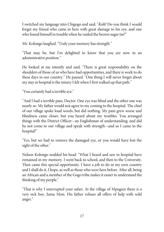I switched my language into Chigogo and said, "Koh! Do you think I would forget my friend who came in here with great damage to his eye, and one who found himself in trouble when he raided the brown sugar tin?"

Mr. Kolongo laughed. "Truly your memory has strength."

"That may be, but I'm delighted to know that you are now in an administrative position."

He looked at me intently and said, "There is great responsibility on the shoulders of those of us who have had opportunities, and there is work to do these days in our country." He paused. "One thing I will never forget about my stay in hospital is the misery I felt when I first walked up that path."

"You certainly had a terrible eye."

"And I had a terrible pain, Doctor. One eye was blind and the other one was nearly so. My father would not agree to my coming to the hospital. The chief of our village spoke loud words, but did nothing. My pain grew worse and blindness came closer, but you heard about my troubles. You arranged things with the District Officer—an Englishman of understanding; and did he not come to our village and speak with strength—and so I came to the hospital!"

"Yes, but we had to remove the damaged eye, or you would have lost the sight of the other."

Nelson Kolongo nodded his head. "What I heard and saw in hospital have remained in my memory. I went back to school, and then to the University. Then came this special opportunity. I have a job to do in my own country and I shall do it, I hope, as well as those who were here before. After all, being an African and a member of the Gogo tribe makes it easier to understand the thinking of my people."

"That is why I interrupted your safari. At the village of Mpuguzi there is a very sick boy, Juma Mosi. His father refuses all offers of help with wild anger."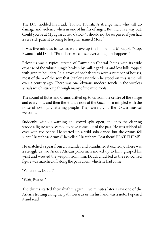The D.C. nodded his head, "I know Kibiriti. A strange man who will do damage and violence when in one of his fits of anger. But there is a way out. Could you be at Mpuguzi at two o'clock? I should not be surprised if you had a very sick patient to bring to hospital, named Mosi."

It was five minutes to two as we drove up the hill behind Mpuguzi. "Stop, Bwana," said Daudi. "From here we can see everything that happens."

Below us was a typical stretch of Tanzania's Central Plains with its wide expanse of thornbush jungle broken by millet gardens and low hills topped with granite boulders. In a grove of baobab trees were a number of houses, most of them of the sort that Stanley saw when he stood on this same hill over a century ago. There was one obvious modern touch in the wireless aerials which stuck up through many of the mud roofs.

The sound of flutes and drums drifted up to us from the centre of the village and every now and then the strange note of the kudu horn mingled with the noise of jostling, chattering people. They were giving the D.C. a musical welcome.

Suddenly, without warning, the crowd split open, and into the clearing strode a figure who seemed to have come out of the past. He was rubbed all over with red ochre. He started up a wild solo dance, but the drums fell silent. "Beat those drums!" he yelled. "Beat them! Beat them! BEAT THEM!"

He snatched a spear from a bystander and brandished it excitedly. There was a struggle as two Askari African policemen moved up to him, grasped his wrist and wrested the weapon from him. Daudi chuckled as the red-ochred figure was marched off along the path down which he had come.

"What now, Daudi?"

"Wait, Bwana."

The drums started their rhythm again. Five minutes later I saw one of the Askaris trotting along the path towards us. In his hand was a note. I opened it and read: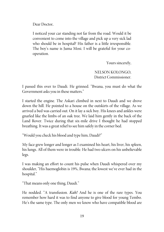Dear Doctor,

I noticed your car standing not far from the road. Would it be convenient to come into the village and pick up a very sick lad who should be in hospital? His father is a little irresponsible. The boy's name is Juma Mosi. I will be grateful for your cooperation.

Yours sincerely,

NELSON KOLONGO, District Commissioner.

I passed this over to Daudi. He grinned. "Bwana, you must do what the Government asks you in these matters."

I started the engine. The Askari climbed in next to Daudi and we drove down the hill. He pointed to a house on the outskirts of the village. As we arrived a bed was carried out. On it lay a sick boy. His knees and ankles were gnarled like the limbs of an oak tree. We laid him gently in the back of the Land Rover. Twice during that six-mile drive I thought he had stopped breathing. It was a great relief to see him safely in the corner bed.

"Would you check his blood and type him, Daudi?"

My face grew longer and longer as I examined his heart, his liver, his spleen, his lungs. All of them were in trouble. He had two ulcers on his unbelievable legs.

I was making an effort to count his pulse when Daudi whispered over my shoulder, "His haemoglobin is 19%, Bwana; the lowest we've ever had in the hospital."

"That means only one thing, Daudi."

He nodded. "A transfusion. Kah! And he is one of the rare types. You remember how hard it was to find anyone to give blood for young Tembo. He's the same type. The only men we know who have compatible blood are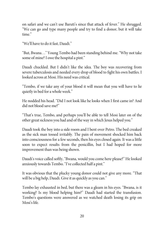on safari and we can't use Baruti's since that attack of fever." He shrugged. "We can go and type many people and try to find a donor, but it will take time"

"We'll have to do it fast, Daudi."

"But, Bwana…" Young Tembo had been standing behind me. "Why not take some of mine? I owe the hospital a pint."

Daudi chuckled. But I didn't like the idea. The boy was recovering from severe tuberculosis and needed every drop of blood to fight his own battles. I looked across at Mosi. His need was critical.

"Tembo, if we take any of your blood it will mean that you will have to lie quietly in bed for a whole week."

He nodded his head. "Did I not look like he looks when I first came in? And did not blood save me?"

"That's true, Tembo, and perhaps you'll be able to tell Mosi later on of the other great sickness you had and of the way in which Jesus helped you."

Daudi took the boy into a side room and I bent over Petro. The bed creaked as the sick man tossed irritably. The pain of movement shocked him back into consciousness for a few seconds, then his eyes closed again. It was a little soon to expect results from the penicillin, but I had hoped for more improvement than was being shown.

Daudi's voice called softly, "Bwana, would you come here please?" He looked anxiously towards Tembo. "I've collected half a pint."

It was obvious that the plucky young donor could not give any more. "That will be a big help, Daudi. Give it as quickly as you can."

Tembo lay exhausted in bed, but there was a gleam in his eyes. "Bwana, is it working? Is my blood helping him?" Daudi had started the transfusion. Tembo's questions were answered as we watched death losing its grip on Mosi's life.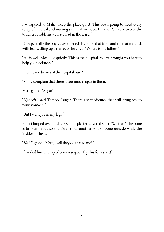I whispered to Mali, "Keep the place quiet. This boy's going to need every scrap of medical and nursing skill that we have. He and Petro are two of the toughest problems we have had in the ward."

Unexpectedly the boy's eyes opened. He looked at Mali and then at me and, with fear welling up in his eyes, he cried, "Where is my father?"

"All is well, Mosi. Lie quietly. This is the hospital. We've brought you here to help your sickness."

"Do the medicines of the hospital hurt?"

"Some complain that there is too much sugar in them."

Mosi gaped. "Sugar?"

"Ngheeh," said Tembo, "sugar. There are medicines that will bring joy to your stomach."

"But I want joy in my legs."

Baruti limped over and tapped his plaster-covered shin. "See that? The bone is broken inside so the Bwana put another sort of bone outside while the inside one heals."

"Kah!" gasped Mosi, "will they do that to me?"

I handed him a lump of brown sugar. "Try this for a start!"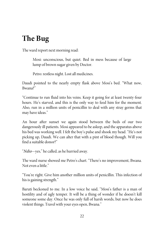### **The Bug**

The ward report next morning read:

Mosi: unconscious, but quiet. Bed in mess because of large lump of brown sugar given by Doctor.

Petro: restless night. Lost all medicines.

Daudi pointed to the nearly empty flask above Mosi's bed. "What now, Bwana?"

"Continue to run fluid into his veins. Keep it going for at least twenty-four hours. He's starved, and this is the only way to feed him for the moment. Also, run in a million units of penicillin to deal with any stray germs that may have ideas."

An hour after sunset we again stood between the beds of our two dangerously ill patients. Mosi appeared to be asleep, and the apparatus above his bed was working well. I felt the boy's pulse and shook my head. "He's not picking up, Daudi. We can alter that with a pint of blood though. Will you find a suitable donor?"

"Ndio—yes," hecalled, as he hurried away.

The ward nurse showed me Petro's chart. "There's no improvement, Bwana. Not even a little."

"You're right. Give him another million units of penicillin. This infection of his is gaining strength."

Baruti beckoned to me. In a low voice he said, "Mosi's father is a man of hostility and of ugly temper. It will be a thing of wonder if he doesn't kill someone some day. Once he was only full of harsh words, but now he does violent things. Travel with your eves open, Bwana."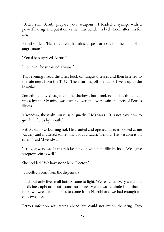"Better still, Baruti, prepare your weapons." I loaded a syringe with a powerful drug, and put it on a small tray beside his bed. "Look after this for me"

Baruti sniffed. "Has this strength against a spear or a stick in the hand of an angry man?"

"You'd be surprised, Baruti."

"Don't you be surprised, Bwana."

That evening I read the latest book on fungus diseases and then listened to the late news from the T.B.C. Then, turning off the radio, I went up to the hospital.

Something moved vaguely in the shadows, but I took no notice, thinking it was a hyena. My mind was turning over and over again the facts of Petro's illness.

Mwendwa, the night nurse, said quietly, "He's worse. It is not easy now to give him fluids by mouth."

Petro's skin was burning hot. He grunted and opened his eyes, looked at me vaguely and muttered something about a safari. "Behold! His wisdom is on safari," said Mwendwa.

"Truly, Mwendwa. I can't risk keeping on with penicillin by itself. We'll give streptomycin as well."

She nodded. "We have none here, Doctor."

"I'llcollect somefrom the dispensary."

I did, but only five small bottles came to light. We searched every ward and medicine cupboard, but found no more. Mwendwa reminded me that it took two weeks for supplies to come from Nairobi and we had enough for only two days.

Petro's infection was racing ahead; we could not ration the drug. Two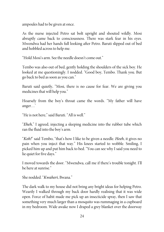ampoules had to be given at once.

As the nurse injected Petro sat bolt upright and shouted wildly. Mosi abruptly came back to consciousness. There was stark fear in his eyes. Mwendwa had her hands full looking after Petro. Baruti slipped out of bed and hobbled across to help me.

"Hold Mosi's arm. See the needle doesn't come out."

Tembo was also out of bed, gently holding the shoulders of the sick boy. He looked at me questioningly. I nodded. "Good boy, Tembo. Thank you. But go back to bed as soon as you can."

Baruti said quietly, "Mosi, there is no cause for fear. We are giving you medicines that will help you."

Hoarsely from the boy's throat came the words. "My father will have anger…'

"Heis not here," said Baruti. "All is well."

"Eheh," I agreed, injecting a sleeping medicine into the rubber tube which ran the fluid into the boy's arm.

"Koh!" said Tembo, "that's how I like to be given a needle. Heeh, it gives no pain when you inject that way." His knees started to wobble. Smiling, I picked him up and put him back to bed. "You can see why I said you need to lie quiet for five days."

I moved towards the door. "Mwendwa, call me if there's trouble tonight. I'll be here at sunrise."

She nodded. "Kwaheri, Bwana."

The dark walk to my house did not bring any bright ideas for helping Petro. Wearily I walked through my back door hardly realising that it was wide open. Force of habit made me pick up an insecticide spray, then I saw that something very much larger than a mosquito was rummaging in a cupboard in my bedroom. Wide awake now I draped a grey blanket over the doorway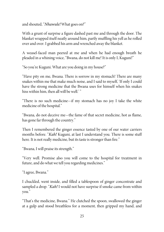and shouted, "Nhawule! What goes on?"

With a grunt of surprise a figure dashed past me and through the door. The blanket wrapped itself neatly around him, partly muffling his yell as herolled over and over. I grabbed his arm and wrenched away the blanket.

A weasel-faced man peered at me and when he had enough breath he pleaded in a whining voice, "Bwana, do not kill me! It is only I, Kuguni!"

"So you're Kuguni. What are you doing in my house?"

"Have pity on me, Bwana. There is sorrow in my stomach! There are many snakes within me that make much noise, and I said to myself, 'If only I could have the strong medicine that the Bwana uses for himself when his snakes hiss within him, then all will be well.'"

"There is no such medicine—if my stomach has no joy I take the white medicine of the hospital."

"Bwana, do not deceive me—the fame of that secret medicine, hot as flame, has gone far through the country."

Then I remembered the ginger essence tasted by one of our water carriers months before. "Kah! Kuguni, at last I understand you. There is some stuff here. It is not really medicine, but its taste is stronger than fire."

"Bwana, I will praise its strength."

"Very well. Promise also you will come to the hospital for treatment in future, and do what we tell you regarding medicines."

"I agree, Bwana."

I chuckled, went inside, and filled a tablespoon of ginger concentrate and sampled a drop. "Kah! I would not have surprise if smoke came from within you."

"That's the medicine, Bwana." He clutched the spoon, swallowed the ginger at a gulp and stood breathless for a moment, then gripped my hand, and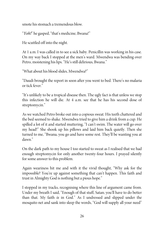smote his stomach a tremendous blow.

"Yoh!" he gasped, "that's medicine, Bwana!"

He scuttled off into the night.

At 1 a.m. I was called in to see a sick baby. Penicillin was working in his case. On my way back I stopped at the men's ward. Mwendwa was bending over Petro, moistening his lips. "He's still delirious, Bwana."

"What about his blood slides, Mwendwa?"

"Daudi brought the report in soon after you went to bed. There's no malaria or tick fever."

"It's unlikely to be a tropical disease then. The ugly fact is that unless we stop this infection he will die. At 4 a.m. see that he has his second dose of streptomycin."

As we watched Petro broke out into a copious sweat. His teeth chattered and the bed seemed to shake. Mwendwa tried to give him a drink from a cup. He spilled a lot of it and started muttering, "I can't swim. The water will go over my head!" She shook up his pillows and laid him back quietly. Then she turned to me, "Bwana, you go and have some rest. They'll be wanting you at dawn."

On the dark path to my house I too started to sweat as I realised that we had enough streptomycin for only another twenty-four hours. I prayed silently for some answer to this problem.

Again weariness hit me and with it the vivid thought, "Why ask for the impossible? You're up against something that can't happen. This faith and trust in Almighty God is nothing but a pious hope."

I stopped in my tracks, recognising where this line of argument came from. Under my breath I said, "Enough of that stuff, Satan; you'll have to do better than that. My faith is in God." As I undressed and slipped under the mosquito net and sank into sleep the words, "God will supply all your need"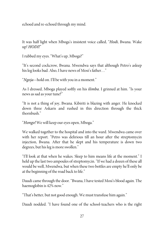echoed and re-echoed through my mind.

It was half light when Mboga's insistent voice called, "Hodi, Bwana. Wake up! HODI!"

I rubbed my eyes. "What's up, Mboga?"

"It's second cockcrow, Bwana. Mwendwa says that although Petro's asleep his leg looks bad. Also, I have news of Mosi's father…"

"Ngoja—hold on. I'll be with you in a moment."

As I dressed, Mboga played softly on his ilimba. I grinned at him. "Is your news as sad as your tune?"

"It is not a thing of joy, Bwana. Kibiriti is blazing with anger. He knocked down three Askaris and rushed in this direction through the thick thornbush."

"Hongo! We will keep our eyes open, Mboga."

We walked together to the hospital and into the ward. Mwendwa came over with her report. "Petro was delirious till an hour after the streptomycin injection, Bwana. After that he slept and his temperature is down two degrees, but his leg is more swollen."

"I'll look at that when he wakes. Sleep to him means life at the moment." I held up the last two ampoules of streptomycin. "If we had a dozen of these all would be well, Mwendwa, but when these two bottles are empty he'll only be at the beginning of the road back to life."

Daudi came through the door. "Bwana, I have tested Mosi's blood again. The haemoglobin is 42% now."

"That's better, but not good enough. We must transfuse him again."

Daudi nodded. "I have found one of the school-teachers who is the right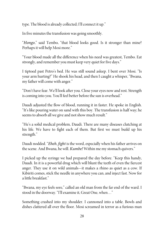type. The blood is already collected; I'll connect it up."

In five minutes the transfusion was going smoothly.

"Hongo," said Tembo, "that blood looks good. Is it stronger than mine? Perhaps it will help Mosi more."

"Your blood made all the difference when his need was greatest, Tembo. Eat strongly, and remember you must keep very quiet for five days."

I tiptoed past Petro's bed. He was still sound asleep. I bent over Mosi. "Is your arm hurting?" He shook his head, and then I caught a whisper, "Bwana, my father will come with anger."

"Don't have fear. We'll look after you. Close your eves now and rest. Strength is coming into you. You'll feel better before the sun is overhead."

Daudi adjusted the flow of blood, running it in faster. He spoke in English. "It's like pouring water on sand with this boy. The transfusion is half way; he seems to absorb all we give and not show much result."

"He's a solid medical problem, Daudi. There are many diseases clutching at his life. We have to fight each of them. But first we must build up his strength."

Daudi nodded. "Eheh, fight is the word, especially when his father arrives on the scene. And Bwana, he will. Kumbe! Within me my stomach quivers."

I picked up the syringe we had prepared the day before. "Keep this handy, Daudi. In it is a powerful drug which will blunt the teeth of even the fiercest anger. They use it on wild animals—it makes a rhino as quiet as a cow. If Kibiriti comes, stick the needle in anywhere you can, and inject fast. Now for a little breakfast."

"Bwana, my eye feels sore," called an old man from the far end of the ward. I stood in the doorway. "I'll examine it, Great One, when..."

Something crashed into my shoulder. I cannoned into a table. Bowls and dishes clattered all over the floor. Mosi screamed in terror as a furious man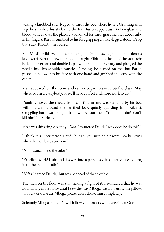waving a knobbed stick leaped towards the bed where he lay. Grunting with rage he smashed his stick into the transfusion apparatus. Broken glass and blood went all over the place. Daudi dived forward, grasping the rubber tube in his fingers. Baruti stumbled to his feet gripping a three-legged stool. "Drop that stick, Kibiriti!" heroared.

But Mosi's wild-eyed father sprang at Daudi, swinging his murderous knobkerri. Baruti threw the stool. It caught Kibiriti in the pit of the stomach; he let out a groan and doubled up. I whipped up the syringe and plunged the needle into his shoulder muscles. Gasping, he turned on me, but Baruti pushed a pillow into his face with one hand and grabbed the stick with the other.

Mali appeared on the scene and calmly began to sweep up the glass. "Stay where you are, everybody, or we'll have cut feet and more work to do!"

Daudi removed the needle from Mosi's arm and was standing by his bed with his arm around the terrified boy, quietly guarding him. Kibiriti, struggling hard, was being held down by four men. "You'll kill him! You'll kill him!" heshrieked.

Mosi was shivering violently. "Koh!" muttered Daudi, "why does he do this?"

"I think it is sheer terror, Daudi, but are you sure no air went into his veins when the bottle was broken?"

"No, Bwana, I held the tube."

"Excellent work! If air finds its way into a person's veins it can cause clotting in the heart and death."

"Ndio," agreed Daudi, "but we are ahead of that trouble."

The man on the floor was still making a fight of it. I wondered that he was not making more noise until I saw the way Mboga was now using the pillow. "Good work, Baruti. Mboga, please don't choke him completely."

Solemnly Mboga panted, "I will follow your orders with care, Great One."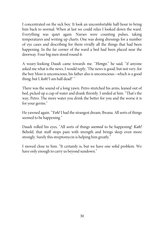I concentrated on the sick boy. It look an uncomfortable half-hour to bring him back to normal. When at last we could relax I looked down the ward. Everything was quiet again. Nurses were counting pulses, taking temperatures and writing up charts. One was doing dressings for a number of eye cases and describing for them vividly all the things that had been happening. In the far corner of the ward a bed had been placed near the doorway. Four big men stood round it.

A weary-looking Daudi came towards me. "Hongo," he said, "if anyone asked me what is the news, I would reply, 'The news is good, but not very, for the boy Mosi is unconscious; his father also is unconscious—which is a good thing; but I, koh! I am half dead!' "

There was the sound of a long yawn. Petro stretched his arms, leaned out of bed, picked up a cup of water and drank thirstily. I smiled at him. "That's the way, Petro. The more water you drink the better for you and the worse it is for your germs."

He yawned again. "Yoh! I had the strangest dream, Bwana. All sorts of things seemed to be happening."

Daudi rolled his eyes, "All sorts of things seemed to be happening! Kah! Behold, that stuff stops pain with strength and brings sleep even more strongly. Surely this streptomycin is helping him greatly."

I moved close to him. "It certainly is, but we have one solid problem. We have only enough to carry us beyond sundown."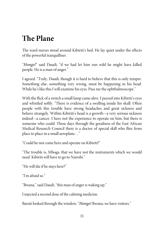#### **The Plane**

The ward nurses stood around Kibiriti's bed. He lay quiet under the effects of the powerful tranquilliser.

"Hongo!" said Daudi, "if we had let him run wild he might have killed people. Heis a man of anger."

I agreed. "Truly, Daudi, though it is hard to believe that this is only temper. Something else, something very wrong, must be happening in his head. While he's like this I will examine his eyes. Pass me the ophthalmoscope."

With the flick of a switch a small lamp came alive. I peered into Kibiriti's eyes and whistled softly. "There is evidence of a swelling inside his skull. Often people with this trouble have strong headaches and great sickness and behave strangely. Within Kibiriti's head is a growth—a very serious sickness indeed—a cancer. I have not the experience to operate on him, but there is someone who could. These days through the goodness of the East African Medical Research Council there is a doctor of special skill who flies from place to place in a small aeroplane..."

"Could he not come here and operate on Kibiriti?"

"The trouble is, Mboga, that we have not the instruments which we would need. Kibiriti will have to go to Nairobi."

"He will die if he stays here?"

"I'm afraid so."

"Bwana," said Daudi, "this man of anger is waking up."

I injected a second dose of thecalming medicine.

Baruti looked through the window, "Hongo! Bwana, we have visitors."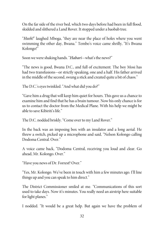On the far side of the river bed, which two days before had been in full flood, skidded and slithered a Land Rover. It stopped under a baobab tree.

"Heeh!" laughed Mboga, "they are near the place of holes where you went swimming the other day, Bwana." Tembo's voice came shrilly, "It's Bwana Kolongo!"

Soon we were shaking hands. "Habari-what's the news?"

"The news is good, Bwana D.C., and full of excitement. The boy Mosi has had two transfusions—or strictly speaking, one and a half. His father arrived in the middle of the second, swung a stick and created quite a bit of chaos."

The D.C.'s eyes twinkled. "And what did you do?"

"Gave him a drug that will keep him quiet for hours. This gave us a chanceto examine him and find that he has a brain tumour. Now his only chance is for us to contact the doctor from the Medical Plane. With his help we might be able to save Kibiriti's life."

The D.C. nodded briskly. "Come over to my Land Rover."

In the back was an imposing box with an insulator and a long aerial. He threw a switch, picked up a microphone and said, "Nelson Kolongo calling Dodoma Central. Over."

A voice came back, "Dodoma Central, receiving you loud and clear. Go ahead, Mr. Kolongo. Over."

"Have you news of Dr. Forrest? Over."

"Yes, Mr. Kolongo. We've been in touch with him a few minutes ago. I'll line things up and you can speak to him direct."

The District Commissioner smiled at me. "Communications of this sort used to take days. Now it's minutes. You really need an airstrip here suitable for light planes."

I nodded. "It would be a great help. But again we have the problem of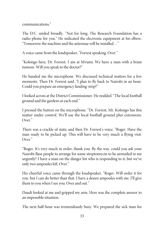communications."

The D.C. smiled broadly. "Not for long. The Research Foundation has a radio phone for you." He indicated the electronic equipment at his elbow. "Tomorrow the machine and the antennae will be installed..."

A voice came from the loudspeaker, "Forrest speaking. Over."

"Kolongo here, Dr. Forrest. I am at Mvumi. We have a man with a brain tumour. Will you speak to the doctor?"

He handed me the microphone. We discussed technical matters for a few moments. Then Dr. Forrest said, "I plan to fly back to Nairobi in an hour. Could you prepare an emergency landing-strip?"

I looked across at the District Commissioner. He nodded. "The local football ground and the gardens at each end."

I pressed the button on the microphone. "Dr. Forrest, Mr. Kolongo has this matter under control. We'll use the local football ground plus extensions. Over<sup>"</sup>

There was a crackle of static and then Dr. Forrest's voice, "Roger. Have the man ready to be picked up. This will have to be very much a flying visit. Over<sup>"</sup>

"Roger. It's very much in order, thank you. By the way. could you ask your Nairobi Base people to arrange for some streptomycin to be airmailed to me urgently? I have a man on the danger list who is responding to it, but we've only two ampoules left. Over."

His cheerful voice came through the loudspeaker, "Roger. Will order it for you. but I can do better than that. I have a dozen ampoules with me. I'll give them to you when I see you. Over and out."

Daudi looked at me and gripped my arm. Here was the complete answer to an impossible situation.

The next half-hour was tremendously busy. We prepared the sick man for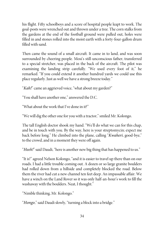his flight. Fifty schoolboys and a score of hospital people leapt to work. The goal-posts were wrenched out and thrown under a tree. The corn stalks from the gardens at the end of the football ground were pulled out, holes were filled in and stones rolled into the moist earth with a forty-four-gallon drum filled with sand.

Then came the sound of a small aircraft. It came in to land, and was soon surrounded by cheering people. Mosi's still-unconscious father, transferred to a special stretcher, was placed in the back of the aircraft. The pilot was examining the landing strip carefully. "We used every foot of it," he remarked. "If you could extend it another hundred yards we could use this place regularly. Just as well we have a strong breeze today."

"Kah!" came an aggrieved voice, "what about my garden?"

"You shall have another one," answered the D.C.

"What about the work that I've done in it?"

"We will dig the other one for you with a tractor," smiled Mr. Kolongo.

The tall English doctor shook my hand. "We'll do what we can for this chap, and be in touch with you. By the way, here is your streptomycin; expect me back before long." He climbed into the plane, calling "Kwaheri, good-bye," to the crowd, and in a moment they were off again.

"Heeh!" said Daudi, "here is another new big thing that has happened to us."

"It is!" agreed Nelson Kolongo, "and it is easier to travel up there than on our roads. I had a little trouble coming out. A dozen or so large granite boulders had rolled down from a hillside and completely blocked the road. Below them the river had cut a new channel ten feet deep. An impassable affair. We have a winch on the Land Rover so it was only half-an-hour's work to fill the washaway with the boulders. Neat, I thought."

"Nimble thinking, Mr. Kolongo."

"Hongo," said Daudi slowly, "turning a block into a bridge."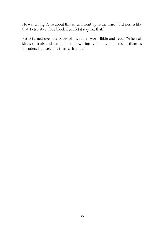He was telling Petro about this when I went up to the ward. "Sickness is like that, Petro, it can be a block if you let it stay like that."

Petro turned over the pages of his rather worn Bible and read, "When all kinds of trials and temptations crowd into your life, don't resent them as intruders, but welcome them as friends."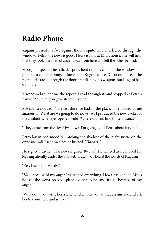#### **Radio Phone**

Kuguni pressed his face against the mosquito wire and leered through the window. "Petro, the news is good. Hewa is now at Miti's house. She will hear that they took one man of anger away from here and left the other behind…"

Mboga grasped an insecticide spray, bent double, came to the window and pumped a cloud of pungent fumes into Kuguni's face. "Clear out, Insect!" he roared. He raced through the door brandishing his weapon, but Kuguni had scuttled off.

Mwendwa brought me the report. I read through it, and stopped at Petro's name. "At 8 p.m. you gave streptomycin?"

Mwendwa nodded. "The last dose we had in the place." She looked at me anxiously. "What are we going to do now?" As I produced the new packet of the antibiotic, her eyes opened wide. "Where did you find those, Bwana?"

"They came from the sky, Mwendwa. I'm going to tell Petro about it now."

Petro lay in bed moodily watching the shadow of the night nurse on the opposite wall. I sat down beside his bed. "Habari?"

He sighed heavily. "The news is good, Bwana." He winced as he moved his legs impatiently under the blanket. "But… you heard the words of Kuguni?"

"Yes, I heard his words."

"Kah, because of my anger I've ruined everything. Hewa has gone to Miti's house—the worst possible place for her to be, and it's all because of my anger."

"Why don't you write her a letter and tell her you've made a mistake and ask her to come here and see you?"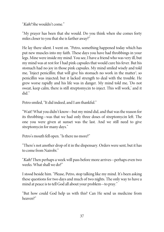"Kah! She wouldn't come."

"My prayer has been that she would. Do you think when she comes forty miles closer to you that she is farther away?"

He lay there silent. I went on. "Petro, something happened today which has put new muscles into my faith. These days you have had throbbings in your legs. Mine were inside my mind. You see, I have a friend who was very ill, but my mind was at rest for I had pink capsules that would cure his fever. But his stomach had no joy in those pink capsules. My mind smiled wisely and told me, 'Inject penicillin; that will give his stomach no work in the matter'; so penicillin was injected; but it lacked strength to deal with the trouble. He grew worse rapidly and his life was in danger. My mind told me, 'Do not sweat, keep calm, there is still streptomycin to inject. This will work,' and it did."

Petro smiled, "It did indeed, and I am thankful."

"Wait! What you didn't know—but my mind did, and that was thereason for its throbbing—was that we had only three doses of streptomycin left. The one you were given at sunset was the last. And we still need to give streptomycin for many days."

Petro's mouth fell open. "Is there no more?"

"There's not another drop of it in the dispensary. Orders were sent, but it has to come from Nairobi."

"Kah! Then perhaps a week will pass before more arrives—perhaps even two weeks. What shall we do?"

I stood beside him. "Please, Petro, stop talking like my mind. It's been asking these questions for two days and much of two nights. The only way to have a mind at peace is to tell God all about your problem—to pray."

"But how could God help us with this? Can He send us medicine from heaven?"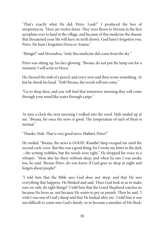"That's exactly what He did, Petro. Look!" I produced the box of streptomycin. "Here are twelve doses. They were flown to Mvumi in the first aeroplane ever to land in the village, and because of this medicine the disease that threatened your life will have its teeth drawn. God hasn't forgotten you, Petro. He hasn't forgotten Hewa or Aramu."

"Hongo!" said Mwendwa, "truly this medicine did come from the sky."

Petro was sitting up, his face glowing. "Bwana, do not put the lamp out for a moment. I will write to Hewa."

He chewed the stub of a pencil, and every now and then wrote something. At last he shook his head. "Yoh! Bwana, the words will not come."

"Go to sleep then, and you will find that tomorrow morning they will come through your mind like water through a pipe."

At nine o'clock the next morning I walked into the ward. Mali smiled up at me. "Bwana, for once the news is good. The temperature of each of them is normal"

"Thanks, Mali. That is very good news. Habari, Petro?"

He smiled, "Bwana, the news is GOOD. Kumbe! sleep escaped me until the second cock-crow. But this was a good thing, for I wrote my letter in the dark —the writing wobbles, but the words were right." He dropped his voice to a whisper. "Mosi also lay there without sleep, and when he saw I was awake too, he said, 'Bwana Petro, do you know if God goes to sleep at night and forgets about people?'

"I told him that the Bible says God does not sleep, and that He sees everything that happens. He blinked and said, 'Does God look at us to make sure we only do right things?' I told him that the Good Shepherd watches us because He loves us, not because He wants to pry or punish. Then he said, 'I wish I was one of God's sheep and that He looked after me.' I told him it was not difficult to come into God's family, or to become a member of His flock,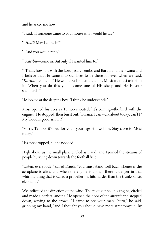and he asked me how.

"I said, 'If someone came to your house what would he say?'

" 'Hodi? May I come in?'

" 'And you would reply?'

" 'Karibu—comein. But only if I wanted him to.'

" 'That's how it is with the Lord Jesus. Tembo and Baruti and the Bwana and I believe that He came into our lives to be there for ever when we said, "Karibu—come in." He won't push open the door, Mosi; we must ask Him in. When you do this you become one of His sheep and He is your shepherd.'"

He looked at the sleeping boy. "I think he understands."

Mosi opened his eyes as Tembo shouted, "It's coming—the bird with the engine!" He stopped, then burst out, "Bwana, I can walk about today, can't I? My blood is good, isn't it?"

"Sorry, Tembo, it's bed for you—your legs still wobble. Stay close to Mosi today."

His face dropped, but he nodded.

High above us the small plane circled as Daudi and I joined the streams of people hurrying down towards the football field.

"Listen, everybody!" called Daudi, "you must stand well back whenever the aeroplane is alive, and when the engine is going—there is danger in that whirling thing that is called a propeller—it hits harder than the trunks of six elephants."

We indicated the direction of the wind. The pilot gunned his engine, circled and made a perfect landing. He opened the door of the aircraft and stepped down, waving to the crowd. "I came to see your man, Petro," he said, gripping my hand, "and I thought you should have more streptomycin. By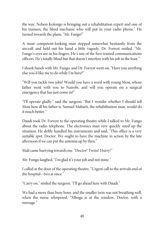the way, Nelson Kolongo is bringing out a rehabilitation expert and one of his trainees, the blind mechanic who will put in your radio phone." He turned towards the plane, "Mr. Fungo!"

A most competent-looking man stepped somewhat hesitantly from the aircraft and held out his hand a little vaguely. Dr. Forrest smiled. "Mr. Fungo's eyes are in his fingers. He's one of the first trained communications officers. He's totally blind but that doesn't interfere with his job in theleast."

I shook hands with Mr. Fungo, and Dr. Forrest went on, "Have you anything else you'd like me to do while I'm here?"

"Will you tackle two jobs? Would you have a word with young Mosi, whose father went with you to Nairobi, and will you operate on a surgical emergency that has just come in?"

"I'll operate gladly," said the surgeon. "But I wonder whether I should tell Mosi how ill his father is. Samuel Mabarti, the rehabilitation man, would do it much better."

Daudi took Dr. Forrest to the operating theatre while I talked to Mr. Fungo about the radio telephone. The electronics man very quickly sized up the situation. He deftly handled his instruments and said, "This office is a very suitable spot, Doctor. We ought to have the machine in action by the late afternoon if wecan put the antenna up by then."

Mali came hurrying towards me. "Doctor! Twins! Hurry!"

Mr. Fungo laughed, "I'm glad it's your job and not mine."

I called at the door of the operating theatre, "Urgent call to the arrivals end of the hospital—two at once."

"Carry on," smiled the surgeon. "I'll go ahead here with Daudi."

We had a more than busy hour, and the smaller twin was not breathing well, when the nurse whispered, "Mboga is at the window, Doctor, with a message."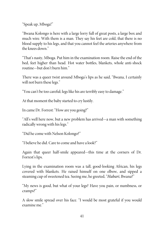"Speak up, Mboga!"

"Bwana Kolongo is here with a large lorry full of great posts, a large box and much wire. With them is a man. They say his feet are cold, that there is no blood supply to his legs, and that you cannot feel the arteries anywhere from the knees down."

"That's nasty, Mboga. Put him in the examination room. Raise the end of the bed, feet higher than head. Hot water bottles, blankets, whole anti-shock routine—but don't burn him."

There was a queer twist around Mboga's lips as he said, "Bwana, I certainly will not burn these legs."

"You can't be too careful; legs like his are terribly easy to damage."

At that moment the baby started to cry lustily.

In came Dr. Forrest: "How are you going?"

"All's well here now, but a new problem has arrived—a man with something radically wrong with his legs."

"Did hecome with Nelson Kolongo?"

"I believe he did. Careto come and have a look?"

Again that queer half-smile appeared—this time at the corners of Dr. Forrest's lips.

Lying in the examination room was a tall, good-looking African, his legs covered with blankets. He raised himself on one elbow, and sipped a steaming cup of sweetened tea. Seeing me, he greeted, "Habari, Bwana?"

"My news is good, but what of your legs? Have you pain, or numbness, or cramps?"

A slow smile spread over his face. "I would be most grateful if you would examine me."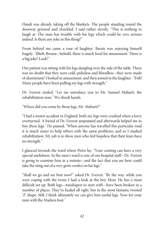Daudi was already taking off the blankets. The people standing round the doorway grinned and chuckled. I said rather sternly, "This is nothing to laugh at. The man has trouble with his legs which could be very serious indeed. Is there any joke in this thing?"

From behind me came a roar of laughter. Baruti was enjoying himself hugely, "Eheh, Bwana—behold, there is much food for amusement. There is a big joke! Look!"

Our patient was sitting with his legs dangling over the side of the table. There was no doubt that they were cold, pulseless and bloodless—they were made of aluminium! I looked in amazement, and then joined in thelaughter. "Yoh! Many people have been pulling my legs with strength."

Dr. Forrest smiled, "Let me introduce you to Mr. Samuel Mabarti, the rehabilitation man." Weshook hands.

"Where did you come by thoselegs, Mr. Mabarti?"

"I had a motor accident in England: both my legs were crushed when a lorry overturned. A friend of Dr. Forrest amputated and afterwards helped me to buy these legs." He paused, "When anyone has travelled this particular road it is much easier to help others with the same problems, and so I studied rehabilitation. My job is to show men who feel hopeless that their fears have no strength."

I glanced towards the ward where Petro lay. "Your coming can have a very special usefulness. In the men's ward is one of our hospital staff—Dr. Forrest is going to examine him in a minute—and the fact that you are here could take the sting out of a very grim verdict on his legs."

"Shall we go and see him now?" asked Dr. Forrest. "By the way, while you were coping with the twins I had a look at the boy Mosi. He has a most difficult set-up. Both legs—misshapen to start with—have been broken in a number of places. They've healed all right, but in the most fantastic twisted 'Z' shape. Still, I think ultimately we can give him useful legs. Now for your man with the Madura foot."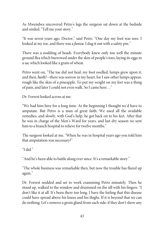As Mwendwa uncovered Petro's legs the surgeon sat down at the bedside and smiled, "Tell me your story."

"It was seven years ago, Doctor," said Petro. "One day my foot was sore. I looked at my toe, and there was a *funza*. I dug it out with a safety pin."

There was a nodding of heads. Everybody knew only too well the minute ground flea which burrowed under theskin of people's toes, laying itseggs in a sac which looked like a grain of wheat.

Petro went on, "The toe did not heal; my foot swelled; lumps grew upon it, and then, heeh!—there was sorrow in my heart, for I saw other lumps appear, rough like the skin of a pineapple. To put my weight on my feet was a thing of pain, and later I could not even walk. So I came here..."

Dr. Forrest looked across at me.

"We had him here for a long time. At the beginning I thought we'd have to amputate. But Petro is a man of great faith. We used all the available remedies, and slowly, with God's help, he got back on to his feet. After that he was in charge of the Men's Ward for years, and last dry season we sent him to a branch hospital to relieve for twelve months."

The surgeon looked at me, "When he was in hospital years ago you told him that amputation was necessary?"

"I did."

"And he's been able to battle along ever since. It's a remarkable story."

"The whole business was remarkable then, but now the trouble has flared up again."

Dr. Forrest nodded and set to work examining Petro minutely. Then he stood up, walked to the window and drummed on the sill with his fingers. "I don't like it at all. It's been there too long. I have the feeling that this disease could have spread above his knees and his thighs. If it is beyond that we can do nothing. Let's remove a groin gland from each side; if they don't show any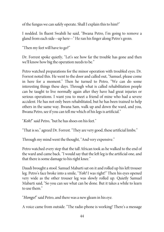of the fungus we can safely operate. Shall I explain this to him?"

I nodded. In fluent Swahili he said, "Bwana Petro, I'm going to remove a gland from each side—up here—" Heran his finger along Petro's groin.

"Then my feet will have to go?"

Dr. Forrest spoke quietly, "Let's see how far the trouble has gone and then we'll know how big the operation needs to be."

Petro watched preparations for the minor operation with troubled eyes. Dr. Forrest noted this. He went to the door and called out, "Samuel, please come in here for a moment." Then he turned to Petro, "We can do some interesting things these days. Through what is called rehabilitation people can be taught to live normally again after they have had great injuries or serious operations. I want you to meet a friend of mine who had a severe accident. He has not only been rehabilitated, but he has been trained to help others in the same way. Bwana Sam, walk up and down the ward, and you, Bwana Petro, see if you can tell me which of his legs is artificial."

"Koh!" said Petro, "but he has shoes on his feet."

"That is so," agreed Dr. Forrest. "They are very good, these artificial limbs."

Through my mind went the thought, "And very expensive."

Petro watched every step that the tall African took as he walked to the end of the ward and came back. "I would say that the left leg is the artificial one, and that there is some damage to his right knee."

Daudi brought a stool. Samuel Mabarti sat on it and rolled up his left trouser leg. Petro's face broke into a smile, "Yoh! I was right!" Then his eyes opened very wide as the other trouser leg was slowly rolled up. Quietly Samuel Mabarti said, "So you can see what can be done. But it takes a while to learn to use them."

"Hongo!" said Petro, and there was a new gleam in his eye.

A voice came from outside. "The radio phone is working! There's a message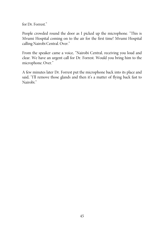for Dr. Forrest."

People crowded round the door as I picked up the microphone. "This is Mvumi Hospital coming on to the air for the first time! Mvumi Hospital calling Nairobi Central. Over."

From the speaker came a voice, "Nairobi Central, receiving you loud and clear. We have an urgent call for Dr. Forrest. Would you bring him to the microphone. Over."

A few minutes later Dr. Forrest put the microphone back into its place and said, "I'll remove those glands and then it's a matter of flying back fast to Nairobi."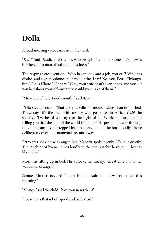## **Dolla**

A loud sneering voice came from the ward.

"Koh!" said Daudi, "that's Dolla, who brought the radio phone. He's Hewa's brother, and a man of noise and nastiness."

The rasping voice went on, "Who has money and a job, you or I? Who has clothes and a gramophone and a radio, who, I say? Not you, Petro Chilango, but I, Dolla Nhoto." He spat. "Why, your wife hasn't even shoes, and you—if you had shoes yourself—what use could you make of them?"

"Move out of here, Loud-mouth!" said Baruti.

Dolla swung round, "Shut up, you seller of mouldy skins. You're finished. These days it's the men with money who go places in Africa. *Kah!*" he sneered, "I've heard you say that the Light of the World is Jesus, but I'm telling you that the light of the world is money." He pushed his way through the door, slammed it, stepped into the lorry, tooted the horn loudly, drove deliberately over an ornamental tree and away.

Petro was shaking with anger. Mr. Mabarti spoke evenly, "Take it quietly. The laughter of hyena comes loudly to the ear, but few have joy in hyenas like Dolla<sup>"</sup>

Mosi was sitting up in bed. His voice came huskily. "Great One, my father was a man of anger."

Samuel Mabarti nodded. "I met him in Nairobi. I flew from there this morning."

"Hongo," said the child, "have you news then?"

"I bear news that is both good and bad, Mosi."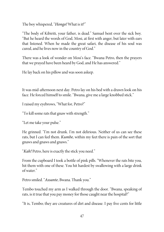The boy whispered, "Hongo! What is it?"

"The body of Kibiriti, your father, is dead." Samuel bent over the sick boy. "But he heard the words of God, Mosi, at first with anger, but later with ears that listened. When he made the great safari, the disease of his soul was cured, and he lives now in the country of God."

There was a look of wonder on Mosi's face. "Bwana Petro, then the prayers that we prayed have been heard by God, and He has answered."

Helay back on his pillow and was soon asleep.

It was mid-afternoon next day. Petro lay on his bed with a drawn look on his face. He forced himself to smile. "Bwana, give me a large knobbed stick."

I raised my eyebrows, "What for, Petro?"

"To kill some rats that gnaw with strength."

"Let metake your pulse."

He grinned. "I'm not drunk. I'm not delirious. Neither of us can see these rats, but I can feel them. Kumbe, within my feet there is pain of the sort that gnaws and gnaws and gnaws."

"Kah! Petro, here is exactly the stick you need."

From the cupboard I took a bottle of pink pills. "Whenever the rats bite you, hit them with one of these. You hit hardest by swallowing with a large drink of water."

Petro smiled. "Assante, Bwana. Thank you."

Tembo touched my arm as I walked through the door. "Bwana, speaking of rats, is it true that you pay money for those caught near the hospital?"

"It is, Tembo; they are creatures of dirt and disease. I pay five cents for little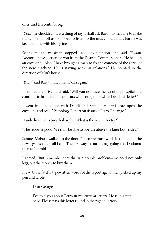ones, and ten cents for big."

"Yoh!" he chuckled, "it is a thing of joy. I shall ask Baruti to help me to make traps." He ran off as I stopped to listen to the music of a guitar. Baruti was keeping time with his big toe.

Seeing me the musician stopped, stood to attention, and said, "Bwana Doctor, I have a letter for you from the District Commissioner." He held up an envelope. "Also, I have brought a man to fix the concrete of the aerial of the new machine. He is staying with his relations." He pointed in the direction of Miti's house.

"Koh!" said Baruti, "that man Dolla again."

I thanked the driver and said, "Will you not taste the tea of the hospital and continue to bring food to our ears with your guitar while I read this letter?"

I went into the office with Daudi and Samuel Mabarti, tore open the envelope and read, "Pathology Report on tissue of Petro Chilango."

Daudi drew in his breath sharply. "What is the news, Doctor?"

"The report is good. We shall be able to operate above the knee both sides."

Samuel Mabarti walked to the door. "Then we must work fast to obtain the new legs. I shall do all I can. The best way to start things going is at Dodoma, then at Nairobi."

I agreed, "But remember that this is a double problem—we need not only legs, but the money to buy them."

I read those fateful typewritten words of the report again, then picked up my pen and wrote,

Dear George,

I've told you about Petro in my circular letters. He is in acute need. Please pass this letter round in the right quarters.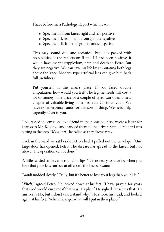I have before me a Pathology Report which reads,

- Specimen I, from knees right and left: positive;
- Specimen II, from right groin glands: negative;
- Specimen III, from left groin glands: negative.

This may sound dull and technical, but it is packed with possibilities. If the reports on II and III had been positive, it would have meant crippledom, pain and death to Petro. But they are negative. We can save his life by amputating both legs above the knee. Modern type artificial legs can give him back full usefulness.

Put yourself in this man's place. If you faced double amputation, how would you feel? The legs he needs will cost a lot of money. The price of a couple of tyres can open a new chapter of valuable living for a first-rate Christian chap. We have no emergency funds for this sort of thing. We need help urgently. Over to you.

I addressed the envelope to a friend in the home country, wrote a letter for thanks to Mr. Kolongo and handed them to the driver. Samuel Mabarti was sitting in the jeep. "Kwaheri," he called as they drove away.

Back in the ward we sat beside Petro's bed. I pulled out the envelope. "One large door has opened, Petro. The disease has spread to the knees, but not above. The operation can be done."

A little twisted smile came round his lips. "It is not easy to have joy when you hear that your legs can be cut off above the knees, Bwana."

Daudi nodded slowly, "Truly, but it's better to lose your legs than your life."

"Eheh," agreed Petro. He looked down at his feet. "I have prayed for years that God would cure me if that was His plan." He sighed. "It seems that His answer is No, but I don't understand why." He shook his head, and looked again at his feet. "When these go, what will I put in their place?"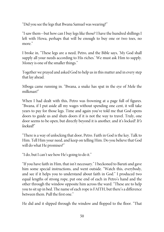"Did you seethelegs that Bwana Samuel was wearing?"

"I saw them—but how can I buy legs like those? I have the hundred shillings I left with Hewa, perhaps that will be enough to buy one or two toes, no more."

I broke in, "These legs are a need, Petro, and the Bible says, 'My God shall supply all your needs according to His riches.' We must ask Him to supply. Money is one of the smaller things."

Together we prayed and asked God to help us in this matter and in every step that lay ahead.

Mboga came running in. "Bwana, a snake has spat in the eye of Mele the milkman!"

When I had dealt with this, Petro was frowning at a page full of figures. "Bwana, if I put aside all my wages without spending one cent, it will take years to pay for those legs. Time and again you've told me that God opens doors to guide us and shuts doors if it is not the way to travel. Truly, one door seems to be open, but directly beyond it is another, and it's locked! It's locked<sup>"</sup>

"There is a way of unlocking that door, Petro. Faith in God is the key. Talk to Him. Tell Him your need, and keep on telling Him. Do you believethat God will do what He promises?"

"I do, but I can't see how He's going to do it."

"If you have faith in Him, that isn't necessary." I beckoned to Baruti and gave him some special instructions, and went outside. "Watch this, everybody, and see if it helps you to understand about faith in God." I produced two equal lengths of strong rope, put one end of each in Petro's hand and the other through the window opposite him across the ward. "These are to help you to sit up in bed. The name of each rope is FAITH, but there's a difference between them. Pull the first one."

He did and it slipped through the window and flopped to the floor. "That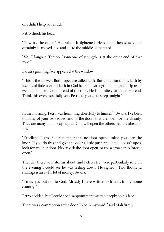one didn't help you much."

Petro shook his head.

"Now try the other." He pulled. It tightened. He sat up, then slowly and certainly he moved, bed and all, to the middle of the ward.

"Koh," laughed Tembo, "someone of strength is at the other end of that rope."

Baruti's grinning face appeared at the window.

"This is the answer. Both ropes are called faith. But understand this, faith by itself is of little use; but faith in God has solid strength to hold and help us. If we hang on firmly to our end of the rope, He is infinitely strong at His end. Think this over, especially you, Petro, as you go to sleep tonight."

In the morning, Petro was humming cheerfully to himself. "Bwana, I've been thinking of your two ropes, and of the doors that are open for me already. They are many. I am praying that God will open the others that are ahead of me<sup>"</sup>

"Excellent, Petro. But remember that no door opens unless you turn the knob. If you do this and give the door a little push and it still doesn't open, look for another door. Never kick the door open, or use a crowbar to force it open."

That day there were storms about, and Petro's feet were particularly sore. In the evening I could see he was feeling down. He sighed. "Two thousand shillings is an awful lot of money, Bwana."

"To us, yes, but not to God. Already I have written to friends in my home country."

Petro nodded, but I could see disappointment written deeply on his face.

There was a commotion at the door. "Not in my ward!" said Mali firmly.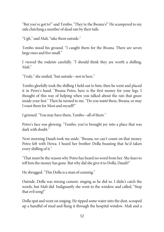"But you've got to!" said Tembo, "They're the Bwana's!" He scampered to my side clutching a number of dead rats by their tails.

"Ugh," said Mali, "takethem outside."

Tembo stood his ground. "I caught them for the Bwana. There are seven large ones and five small."

I viewed the rodents carefully. "I should think they are worth a shilling, Mali<sup>"</sup>

"Truly," shesmiled, "but outside—not in here."

Tembo gleefully took the shilling I held out to him, then he went and placed it in Petro's hand. "Bwana Petro, here is the first money for your legs. I thought of this way of helping when you talked about the rats that gnaw inside your feet." Then he turned to me. "Do you want these, Bwana, or may I roast them for Mosi and myself?"

I grinned. "You may have them, Tembo—all of them."

Petro's face was glowing. "Tembo, you've brought joy into a place that was dark with doubt."

Next morning Daudi took me aside. "Bwana, we can't count on that money Petro left with Hewa. I heard her brother Dolla boasting that he'd taken every shilling of it."

"That must be the reason why Petro has heard no word from her. She fears to tell him the money has gone. But why did she give it to Dolla, Daudi?"

He shrugged. "This Dolla is a man of cunning."

Outside, Dolla was mixing cement, singing as he did so. I didn't catch the words, but Mali did. Indignantly she went to the window and called, "Stop thatevil song!"

Dolla spat and went on singing. Hetipped some water into the dust, scooped up a handful of mud and flung it through the hospital window. Mali and a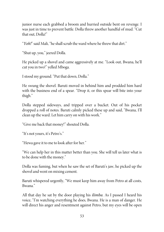junior nurse each grabbed a broom and hurried outside bent on revenge. I was just in time to prevent battle. Dolla threw another handful of mud. "Cut that out, Dolla!"

"Yoh!" said Mali, "he shall scrub the ward where he threw that dirt."

"Shut up, you," jeered Dolla.

He picked up a shovel and came aggressively at me. "Look out, Bwana, he'll cut you in two!" yelled Mboga.

I stood my ground. "Put that down, Dolla."

He swung the shovel. Baruti moved in behind him and prodded him hard with the business end of a spear. "Drop it, or this spear will bite into your thigh."

Dolla stepped sideways, and tripped over a bucket. Out of his pocket dropped a roll of notes. Baruti calmly picked these up and said, "Bwana, I'll clean up the ward. Let him carry on with his work."

"Give me back that money!" shouted Dolla.

"It's not yours, it's Petro's."

"Hewa gave it to me to look after for her."

"We can help her in this matter better than you. She will tell us later what is to be done with the money."

Dolla was fuming, but when he saw the set of Baruti's jaw, he picked up the shovel and went on mixing cement.

Baruti whispered urgently, "We must keep him away from Petro at all costs, Bwana."

All that day he sat by the door playing his *ilimba*. As I passed I heard his voice, "I'm watching everything he does, Bwana. He is a man of danger. He will direct his anger and resentment against Petro, but my eyes will be open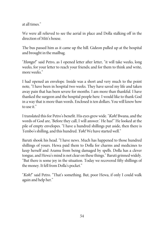at all times."

We were all relieved to see the aerial in place and Dolla stalking off in the direction of Miti's house.

The bus passed him as it came up the hill. Gideon pulled up at the hospital and brought in the mailbag.

"Hongo!" said Petro, as I opened letter after letter, "it will take weeks, long weeks, for your letter to reach your friends; and for them to think and write, more weeks."

I had opened an envelope. Inside was a short and very much to the point note, "I have been in hospital two weeks. They have saved my life and taken away pain that has been severe for months. I am more than thankful. I have thanked the surgeon and the hospital people here. I would like to thank God in a way that is more than words. Enclosed is ten dollars. You will know how to use it."

I translated this for Petro's benefit. Hiseyes grew wide. "Koh! Bwana, and the words of God are, 'Before they call, I will answer.' He has!" He looked at the pile of empty envelopes. "I have a hundred shillings put aside, then there is Tembo's shilling, and this hundred. Yoh! We have started well."

Baruti shook his head. "I have news. Much has happened to those hundred shillings of yours. Hewa paid them to Dolla for charms and medicines to keep herself and Aramu from being damaged by spells. Dolla has a clever tongue, and Hewa's mind is not clear on these things." Baruti grinned widely. "But there is some joy in the situation. Today we recovered fifty shillings of the money. It fell from Dolla's pocket."

"Koh!" said Petro. "That's something. But, poor Hewa, if only I could walk again and help her."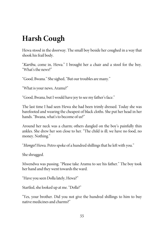## **Harsh Cough**

Hewa stood in the doorway. The small boy beside her coughed in a way that shook his frail body.

"Karibu, come in, Hewa." I brought her a chair and a stool for the boy. "What's the news?"

"Good, Bwana." Shesighed, "But our troubles are many."

"What is your news, Aramu?"

"Good, Bwana, but I would have joy to see my father's face."

The last time I had seen Hewa she had been trimly dressed. Today she was barefooted and wearing the cheapest of black cloths. She put her head in her hands. "Bwana, what's to become of us?"

Around her neck was a charm; others dangled on the boy's painfully thin ankles. She drew her son close to her. "The child is ill; we have no food, no money. Nothing."

"Hongo! Hewa. Petro spoke of a hundred shillings that heleft with you."

Sheshrugged.

Mwendwa was passing. "Please take Aramu to see his father." The boy took her hand and they went towards the ward.

"Have you seen Dolla lately, Hewa?"

Startled, shelooked up at me. "Dolla?"

"Yes, your brother. Did you not give the hundred shillings to him to buy native medicines and charms?"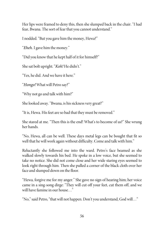Her lips were framed to deny this, then she slumped back in the chair. "I had fear, Bwana. The sort of fear that you cannot understand."

I nodded. "But you gave him the money, Hewa?"

"Eheh. I gave him the money."

"Did you know that he kept half of it for himself?"

She sat bolt upright. "Koh! He didn't."

"Yes, he did. And we have it here."

"Hongo! What will Petro say?"

"Why not go and talk with him?"

She looked away. "Bwana, is his sickness very great?"

"It is, Hewa. His feet are so bad that they must be removed."

She stared at me. "Then this is the end! What's to become of us?" She wrung her hands.

"No, Hewa, all can be well. These days metal legs can be bought that fit so well that he will work again without difficulty. Come and talk with him."

Reluctantly she followed me into the ward. Petro's face beamed as she walked slowly towards his bed. He spoke in a low voice, but she seemed to take no notice. She did not come close and her wide staring eyes seemed to look right through him. Then she pulled a corner of the black cloth over her face and slumped down on the floor.

"Hewa, forgive me for my anger." She gave no sign of hearing him; her voice came in a sing-song dirge: "They will cut off your feet, cut them off, and we will have famine in our house..."

"No," said Petro, "that will not happen. Don't you understand, God will…"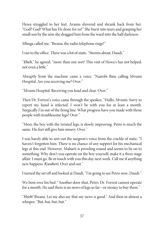Hewa struggled to her feet. Aramu shivered and shrank back from her. "God? God? What has He done for us?" She burst into tears and grasping her small son by the arm she dragged him from the ward into the half darkness.

Mboga called me, "Bwana, the radio telephone rings!"

I ran to the office. There was a lot of static. "Storms about, Daudi."

"Eheh," he agreed, "more than one sort! This visit of Hewa's has not helped, not even a little."

Abruptly from the machine came a voice. "Nairobi Base calling Mvumi Hospital. Are you receiving me? Over."

"Mvumi Hospital. Receiving you loud and clear. Over."

Then Dr. Forrest's voice came through the speaker, "Hullo, Mvumi. Sorry to report my hand is infected. I won't be with you for at least a month. Surgically I'm out of the firing line. What progress have you made with those people with troublesomelegs? Over."

"Mosi, the boy with the twisted legs, is slowly improving. Petro is much the same. His feet still give him misery. Over."

I was barely able to sort out the surgeon's voice from the crackle of static. "I haven't forgotten him. There is no chance of any support for his mechanical legs at this end. However, Mabarti is prowling round and seems to be on to something. Why don't you operate on the boy yourself; make it a three stage affair. I must go. Be in touch with you this day next week. Call me if anything new happens. Kwaheri. Over and out."

I turned the set off and looked at Daudi. "I'm going to see Petro now, Daudi."

We bent over his bed. "Another door shut, Petro. Dr. Forrest cannot operate for a month. He said there is no news of legs so far—or money to buy them."

"Heeh! Bwana. Let me also say that my news is good." And then in almost a whisper, "But, but, but, but."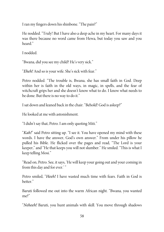I ran my fingers down his shinbone. "The pain?"

He nodded. "Truly! But I have also a deep ache in my heart. For many days it was there because no word came from Hewa, but today you saw and you heard."

I nodded.

"Bwana, did you see my child? He's very sick."

"Eheh! And so is your wife. She's sick with fear."

Petro nodded. "The trouble is, Bwana, she has small faith in God. Deep within her is faith in the old ways, in magic, in spells, and the fear of witchcraft grips her and she doesn't know what to do. I know what needs to be done. But there is no way to do it."

I sat down and leaned back in thechair. "Behold! God is asleep?"

Helooked at me with astonishment.

"I didn't say that, Petro. I am only quoting Miti."

"Kah!" said Petro sitting up. "I see it. You have opened my mind with these words. I have the answer, God's own answer." From under his pillow he pulled his Bible. He flicked over the pages and read, "The Lord is your keeper," and "He that keeps you will not slumber." He smiled. "This is what I keep telling Mosi."

"Read on, Petro. See, it says, 'He will keep your going out and yourcoming in from this day and for ever.'"

Petro smiled, "Heeh! I have wasted much time with fears. Faith in God is better."

Baruti followed me out into the warm African night. "Bwana, you wanted me?"

"Neheeh! Baruti, you hunt animals with skill. You move through shadows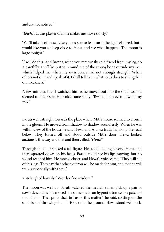and are not noticed."

"Eheh, but this plaster of mine makes me moveslowly."

"We'll take it off now. Use your spear to lean on if the leg feels tired, but I would like you to keep close to Hewa and see what happens. The moon is large tonight."

"I will do this. And Bwana, when you remove this old friend from my leg, do it carefully. I will keep it to remind me of the strong bone outside my skin which helped me when my own bones had not enough strength. When others notice it and speak of it, I shall tell them what Jesus does to strengthen our weakness."

A few minutes later I watched him as he moved out into the shadows and seemed to disappear. His voice came softly, "Bwana, I am even now on my way."

Baruti went straight towards the place where Miti's house seemed to crouch in the gloom. He moved from shadow to shadow soundlessly. When he was within view of the house he saw Hewa and Aramu trudging along the road below. They turned off and stood outside Miti's door. Hewa looked anxiously this way and that and then called, "Hodi?"

Through the door stalked a tall figure. He stood looking beyond Hewa and then squatted down on his heels. Baruti could see his lips moving, but no sound reached him. He moved closer, and Hewa's voice came, "They will cut off his legs. They say that others of iron will be madefor him, and that he will walk successfully with these."

Miti laughed harshly. "Words of no wisdom."

The moon was well up. Baruti watched the medicine man pick up a pair of cowhide sandals. He moved like someone in an hypnotic trance to a patch of moonlight. "The spirits shall tell us of this matter," he said, spitting on the sandals and throwing them briskly onto the ground. Hewa stood well back.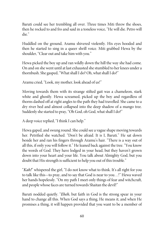Baruti could see her trembling all over. Three times Miti threw the shoes, then he rocked to and fro and said in a toneless voice, "He will die. Petro will die."

Huddled on the ground, Aramu shivered violently. His eyes hooded and then he started to sing in a queer shrill voice. Miti grabbed Hewa by the shoulder, "Clear out and take him with you."

Hewa picked the boy up and ran wildly down the hill the way she had come. On and on she went until at lastexhausted shestumbled to her knees under a thornbush. She gasped, "What shall I do? Oh, what shall I do?"

Aramu cried, "Look, my mother, look ahead of us!"

Moving towards them with its strange stilted gait was a chameleon, stark white and ghostly. Hewa screamed, picked up the boy and regardless of thorns dashed off at right angles to the path they had travelled. Shecameto a dry river bed and almost collapsed into the deep shadow of a mango tree. Suddenly she started to pray, "Oh God, oh God, what shall I do?"

A deep voice replied, "I think I can help."

Hewa gaped, and swung round. She could see a vague shape moving towards her. Petrified she watched. "Don't be afraid. It is I, Baruti." He sat down beside her and ran his fingers through Aramu's hair. "There is a way out of all this, if only you will follow it." Heleaned back against thetree. "You know the words of God. They have lodged in your head, but they haven't grown down into your heart and your life. You talk about Almighty God, but you doubt that His strength is sufficient to help you out of this trouble."

"Kah!" whispered the girl, "I do not know what to think. It's all right for you to talk like this—to pray, and to say that God is near to you…!" Hewa waved her hands hopelessly. "On my path I meet only things of fear and witchcraft, and people whose faces are turned towards Shaitan the devil!"

Baruti nodded quietly. "Eheh, but faith in God is the strong spear in your hand to change all this. When God says a thing, He means it, and when He promises a thing, it will happen provided that you want to be a member of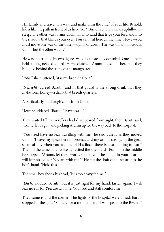His family and travel His way, and make Him the chief of your life. Behold, life is like the path in front of us here. See? One direction it winds uphill—it is steep. The other way it runs downhill, into sand that trips your feet, and into the shadow that blinds your eyes. You can't sit here all the time, Hewa—you must move one way or the other—uphill or down. The way of faith in God is uphill, but the other way…"

He was interrupted by two figures walking unsteadily downhill. One of them held a long-necked gourd. Hewa clutched Aramu closer to her, and they huddled behind the trunk of the mango tree.

"Yoh!" she muttered, "it is my brother Dolla."

"Neheeh!" agreed Baruti, "and in that gourd is the strong drink that they make from honey—a drink that breeds quarrels."

A particularly loud laugh came from Dolla.

Hewa shuddered. "Baruti, I have fear..."

They waited till the revellers had disappeared from sight, then Baruti said, "Come, let us go," and picking Aramu up led the way back to the hospital.

"You need have no fear travelling with me," he said quietly as they moved uphill, "I have my spear here to protect, and my arm is strong. In the great safari of life, when you are one of His flock, there is also nothing to fear." Then in the same quiet voice he recited the Shepherd's Psalm. In the middle he stopped. "Aramu, let these words stay in your head and in your heart: 'I will fear no evil for You are with me.'" He put the shaft of the spear into the boy's hand. "Hold this."

The small boy shook his head, "It is too heavy for me."

"Eheh," nodded Baruti, "but it is just right for my hand. Listen again: 'I will fear no evil for You are with me, Your rod and staff comfort me.'"

They came round the corner. The lights of the hospital were ahead. Baruti stopped at the gate. "Sit here for a moment, and I will speak to the Bwana."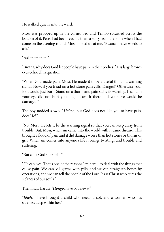He walked quietly into the ward.

Mosi was propped up in the corner bed and Tembo sprawled across the bottom of it. Petro had been reading them a story from the Bible when I had come on the evening round. Mosi looked up at me, "Bwana, I have words to ask."

"Ask them then."

"Bwana, why does God let people have pain in their bodies?" His large brown eyes echoed his question.

"When God made pain, Mosi, He made it to be a useful thing—a warning signal. Now, if you tread on a hot stone pain calls 'Danger!' Otherwise your foot would just burn. Stand on a thorn, and pain stabs its warning. If sand in your eye did not hurt you might leave it there and your eye would be damaged."

The boy nodded slowly. "Heheh, but God does not like you to have pain, does He?"

"No, Mosi, He lets it be the warning signal so that you can keep away from trouble. But, Mosi, when sin came into the world with it came disease. This brought a flood of pain and it did damage worsethan hot stones or thorns or grit. When sin comes into anyone's life it brings twistings and trouble and suffering."

"But can't God stop pain?"

"He can, yes. That's one of the reasons I'm here—to deal with the things that cause pain. We can kill germs with pills, and we can straighten bones by operations, and we can tell the people of the Lord Jesus Christ who cures the sickness of our souls."

Then I saw Baruti. "Hongo, have you news?"

"Eheh, I have brought a child who needs a cot, and a woman who has sickness deep within her."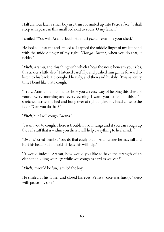Half an hour later a small boy in a trim cot smiled up into Petro's face. "I shall sleep with peace in this small bed next to yours, O my father."

I smiled. "You will, Aramu, but first I must pima—examine yourchest."

He looked up at me and smiled as I tapped the middle finger of my left hand with the middle finger of my right. "Hongo! Bwana, when you do that, it tickles."

"Eheh, Aramu, and this thing with which I hear the noise beneath your ribs, this tickles a little also." I listened carefully, and pushed him gently forward to listen to his back. He coughed heavily, and then said huskily, "Bwana, every time I bend like that I cough."

"Truly, Aramu. I am going to show you an easy way of helping this chest of yours. Every morning and every evening I want you to lie like this…" I stretched across the bed and hung over at right angles, my head close to the floor. "Can you do that?"

"Eheh, but I will cough, Bwana."

"I want you to cough. There is trouble in your lungs and if you can cough up the evil stuff that is within you then it will help everything to heal inside."

"Bwana,"cried Tembo, "you do thateasily. But if Aramu tries he may fall and hurt his head. But if I hold his legs this will help."

"It would indeed. Aramu, how would you like to have the strength of an elephant holding your legs while you cough as hard as you can?"

"*Eheh*, it would be fun," smiled the boy.

He smiled at his father and closed his eyes. Petro's voice was husky, "Sleep with peace, my son."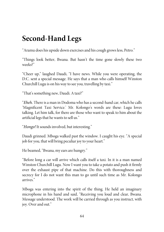## **Second-Hand Legs**

"Aramu does his upside down exercises and hiscough grows less, Petro."

"Things look better, Bwana. But hasn't the time gone slowly these two weeks?"

"Cheer up," laughed Daudi, "I have news. While you were operating, the D.C. sent a special message. He says that a man who calls himself Winston Churchill Lugu is on his way to see you, travelling by taxi."

"That's something new, Daudi. A taxi?"

"*Eheh*. There is a man in Dodoma who has a second-hand car, which he calls 'Magnificent Taxi Service.' Mr. Kolongo's words are these: Lugu loves talking. Let him talk, for there are those who want to speak to him about the artificial legs that he wants to sell us."

"Hongo! It sounds involved, but interesting."

Daudi grinned. Mboga walked past the window. I caught his eye. "A special job for you, that will bring peculiar joy to your heart."

He beamed, "Bwana, my ears are hungry."

"Before long a car will arrive which calls itself a taxi. In it is a man named Winston Churchill Lugu. Now I want you to take a potato and push it firmly over the exhaust pipe of that machine. Do this with thoroughness and secrecy for I do not want this man to go until such time as Mr. Kolongo arrives."

Mboga was entering into the spirit of the thing. He held an imaginary microphone in his hand and said, "Receiving you loud and clear, Bwana. Message understood. The work will be carried through as you instruct, with joy. Over and out."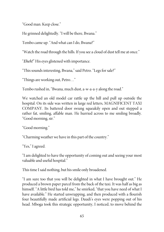"Good man. Keep close."

He grinned delightedly. "I will be there, Bwana."

Tembo came up. "And what can I do, Bwana?"

"Watch theroad through the hills. If you see a cloud of dust tell me at once."

"*Eheh!*" His eyes glistened with importance.

"This sounds interesting, Bwana," said Petro. "Legs for sale?"

"Things are working out, Petro…"

Tembo rushed in, "Bwana, much dust, a-w-a-a-y along theroad."

We watched an old model car rattle up the hill and pull up outside the hospital. On its side was written in large red letters, MAGNIFICENT TAXI COMPANY. Its battered door swung squeakily open and out stepped a rather fat, smiling, affable man. He hurried across to me smiling broadly. "Good morning, sir."

"Good morning."

"Charming weather we have in this part of the country."

"Yes," I agreed.

"I am delighted to have the opportunity of coming out and seeing your most valuable and useful hospital."

This time I said nothing, but his smile only broadened.

"I am sure too that you will be delighted in what I have brought out." He produced a brown paper parcel from the back of the taxi. It was half as big as himself. "A little bird has told me," he smirked, "that you have need of what I have available." He started unwrapping, and then produced with a flourish four beautifully made artificial legs. Daudi's eyes were popping out of his head. Mboga took this strategic opportunity, I noticed, to move behind the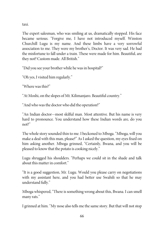taxi.

The expert salesman, who was smiling at us, dramatically stopped. His face became serious. "Forgive me, I have not introduced myself. Winston Churchill Lugu is my name. And these limbs have a very sorrowful association to me. They were my brother's, Doctor. It was very sad. He had the misfortune to fall under a train. These were made for him. Beautiful, are they not? Custom made. All British."

"Did you see your brother while he was in hospital?"

"Oh yes, I visited him regularly."

"Where was this?"

"At Moshi, on the slopes of Mt. Kilimanjaro. Beautiful country."

"And who was the doctor who did the operation?"

"An Indian doctor—most skilful man. Most attentive. But his name is very hard to pronounce. You understand how these Indian words are, do you not?"

The whole story sounded thin to me. I beckoned to Mboga. "Mboga, will you make a deal with this man, please?" As I asked the question, my eyes fixed on him asking another. Mboga grinned, "Certainly, Bwana, and you will be pleased to know that the potato is cooking nicely."

Lugu shrugged his shoulders. "Perhaps we could sit in the shade and talk about this matter in comfort."

"It is a good suggestion, Mr. Lugu. Would you please carry on negotiations with my assistant here, and you had better use Swahili so that he may understand fully."

Mboga whispered, "There is something wrong about this, Bwana. I can smell many rats."

I grinned at him. "My nose also tells me the same story. But that will not stop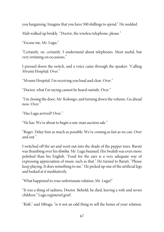you bargaining. Imagine that you have 500 shillings to spend." He nodded.

Mali walked up briskly. "Doctor, the wireless telephone, please."

"Excuse me, Mr. Lugu."

"Certainly, sir, certainly. I understand about telephones. Most useful, but very irritating on occasions."

I pressed down the switch, and a voice came through the speaker: "Calling Mvumi Hospital. Over."

"Mvumi Hospital. I'm receiving you loud and clear. Over."

"Doctor, what I'm saying cannot be heard outside. Over."

"I'm closing the door, Mr. Kolongo, and turning down the volume. Go ahead now. Over."

"Has Lugu arrived? Over."

"He has. We're about to begin a one-man auction sale."

"Roger. Delay him as much as possible. We're coming as fast as we can. Over and out."

I switched off the set and went out into the shade of the pepper trees. Baruti was thumbing over his *ilimba*. Mr. Lugu beamed. His Swahili was even more polished than his English. "Food for the ears is a very adequate way of expressing appreciation of music such as that." He turned to Baruti. "Please keep playing. It does something to me." He picked up one of the artificial legs and looked at it meditatively.

"What happened to your unfortunate relation, Mr. Lugu?"

"It was a thing of sadness, Doctor. Behold, he died, leaving a wife and seven children." Lugu registered grief.

"Koh," said Mboga, "is it not an odd thing to sell the bones of your relation,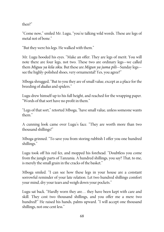then?"

"Come now," smiled Mr. Lugu, "you're talking wild words. These are legs of metal not of bone."

"But they were his legs. He walked with them."

Mr. Lugu hooded his eyes. "Make an offer. They are legs of merit. You will note there are four legs, not two. These two are ordinary legs—we called them Miguu ya kila siku. But these are Migun ya juma pili—Sunday legs seethe highly-polished shoes, very ornamental! Yes, you agree?"

Mboga shrugged, "But to you they are of small value, except as a place for the breeding of dudus and spiders."

Lugu drew himself up to his full height, and reached for the wrapping paper. "Words of that sort have no profit in them."

"Legs of that sort," retorted Mboga, "have small value, unless someone wants them."

A cunning look came over Lugu's face. "They are worth more than two thousand shillings!"

Mboga grinned. "To save you from storing rubbish I offer you one hundred shillings."

Lugu took off his red fez, and mopped his forehead. "Doubtless you come from the jungle parts of Tanzania. A hundred shillings, you say? That, to me, is merely the small grain in the cracks of the basket."

Mboga smiled. "I can see how these legs in your house are a constant sorrowful reminder of your late relation. Let two hundred shillings comfort your mind, dry your tears and weigh down your pockets."

Lugu sat back. "Hardly worn they are… they have been kept with care and skill. They cost two thousand shillings, and you offer me a mere two hundred!" He raised his hands, palms upward. "I will accept one thousand shillings, not one cent less."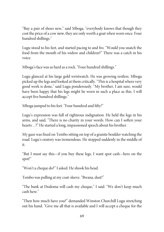"Buy a pair of shoes new," said Mboga, "everybody knows that though they cost the price of a cow new, they are only worth a goat when worn once. Four hundred shillings."

Lugu stood to his feet, and started pacing to and fro. "Would you snatch the food from the mouth of his widow and children?" There was a catch in his voice.

Mboga's face was as hard as a rock. "Four hundred shillings."

Lugu glanced at his large gold wristwatch. He was growing restless. Mboga picked up thelegs and looked at them critically. "This is a hospital where very good work is done," said Lugu ponderously. "My brother, I am sure, would have been happy that his legs might be worn in such a place as this. I will accept five hundred shillings."

Mboga jumped to his feet. "Four hundred and fifty!"

Lugu's expression was full of righteous indignation. He held the legs in his arms, and said, "There is no charity in your words. How can I soften your hearts...?" He started a long, impassioned speech about his brother.

My gaze was fixed on Tembo sitting on top of a granite boulder watching the road. Lugu's oratory was tremendous. He stopped suddenly in the middle of it.

"But I must say this—if you buy these legs, I want spot cash—here on the spot!"

"Won't a cheque do?" I asked. Heshook his head.

Tembo was pulling at my coat-sleeve. "Bwana, dust!"

"The bank at Dodoma will cash my cheque," I said. "We don't keep much cash here."

"Then how much have you?" demanded Winston Churchill Lugu stretching out his hand. "Give me all that is available and I will accept a cheque for the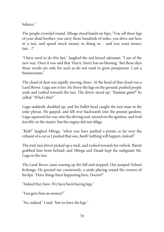balance."

The people crowded round. Mboga stood hands on hips, "You sell these legs of your dead brother; you carry them hundreds of miles; you drive out here in a taxi, and spend much money in doing so… and you want money fast…?"

"I have need to do this fast," laughed the red-fezzed salesman. "I am of the new way. Once it was said that 'Hurry, hurry has no blessing.' But these days those words are only for such as do not want to grow prosperous. I am a businessman."

The cloud of dust was rapidly moving closer. At the head of that cloud was a Land Rover. Lugu saw it too. He threw the legs on the ground, pushed people aside and rushed towards the taxi. The driver stood up, "Namna gani?" he yelled. "What's this?"

Lugu suddenly doubled up, and his bullet head caught the taxi-man in the solar plexus. He gasped, and fell over backwards into the peanut gardens. Lugu squeezed his way into the driving seat, turned on the ignition, and trod forcibly on the starter, but the engine did not oblige.

"Koh!" laughed Mboga, "when you have pushed a potato as far over the exhaust of a car as I pushed that one, *heeh!* nothing will happen, indeed!"

The irate taxi driver picked up a stick, and rushed towards his vehicle. Baruti grabbed him from behind, and Mboga and Daudi kept the indignant Mr. Lugu in the taxi.

The Land Rover came roaring up the hill and stopped. Out jumped Nelson Kolongo. He greeted me courteously, a smile playing round the corners of his lips. "Have things been happening here, Doctor?"

"Indeed they have. We have been buying legs."

"You gave him no money?"

"No, indeed," I said, "but we have the legs."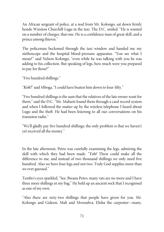An African sergeant of police, at a nod from Mr. Kolongo, sat down firmly beside Winston Churchill Lugu in the taxi. The D.C. smiled. "He is wanted on a number of charges, that one. He is a confidence man of great skill, and a prince among thieves."

The policeman beckoned through the taxi window and handed me my stethoscope and the hospital blood-pressure apparatus. "You see what I mean?" said Nelson Kolongo, "even while he was talking with you he was adding to his collection. But speaking of legs, how much were you prepared to pay for those?"

"Five hundred shillings."

"Koh!" said Mboga, "I could have beaten him down to four-fifty."

"Five hundred shillings is the sum that the relatives of the late owner want for them," said the D.C. "Mr. Mabarti found them through a card record system and when I followed the matter up by the wireless telephone I heard about Lugu and the theft. He had been listening to all our conversations on his transistor radio."

"We'll gladly pay five hundred shillings; the only problem is that we haven't yet received all the money."

In the late afternoon, Petro was carefully examining the legs, admiring the skill with which they had been made. "Yoh! These could make all the difference to me, and instead of two thousand shillings we only need five hundred. Also we have four legs and not two. Truly God supplies more than we ever guessed."

Tembo's eyes sparkled, "See, Bwana Petro, many rats are no more and I have three more shillings in my bag." He held up an ancient sock that I recognised as one of my own.

"Also there are sixty-two shillings that people have given for you. Mr. Kolongo and Gideon, Mali and Mwendwa, Elisha the carpenter—many,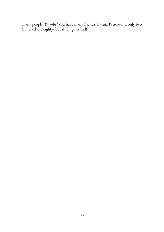many people. Kumbe! you have many friends, Bwana Petro—and only two hundred and eighty-four shillings to find!"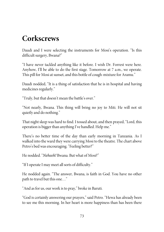## **Corkscrews**

Daudi and I were selecting the instruments for Mosi's operation. "Is this difficult surgery, Bwana?"

"I have never tackled anything like it before. I wish Dr. Forrest were here. Anyhow, I'll be able to do the first stage. Tomorrow at 7 a.m., we operate. This pill for Mosi at sunset, and this bottle of cough-mixture for Aramu."

Daudi nodded, "It is a thing of satisfaction that he is in hospital and having medicines regularly."

"Truly, but that doesn't mean the battle's over."

"Not nearly, Bwana. This thing will bring no joy to Miti. He will not sit quietly and do nothing."

That night sleep was hard to find. I tossed about, and then prayed, "Lord, this operation is bigger than anything I've handled. Help me."

There's no better time of the day than early morning in Tanzania. As I walked into the ward they were carrying Mosi to the theatre. The chart above Petro's bed was encouraging. "Feeling better?"

He nodded. "Neheeh! Bwana. But what of Mosi?"

"If I operate I may meet all sorts of difficulty."

He nodded again. "The answer, Bwana, is faith in God. You have no other path to travel but this one…"

"And as for us, our work is to pray," broke in Baruti.

"God is certainly answering our prayers," said Petro. "Hewa has already been to see me this morning. In her heart is more happiness than has been there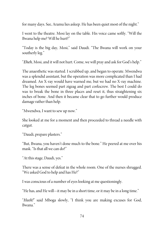for many days. See, Aramu lies asleep. He has been quiet most of the night."

I went to the theatre. Mosi lay on the table. His voice came softly. "Will the Bwana help me? Will he hurt?"

"Today is the big day, Mosi," said Daudi. "The Bwana will work on your southerly leg."

"Eheh, Mosi, and it will not hurt. Come, we will pray and ask for God's help."

The anaesthetic was started. I scrubbed up, and began to operate. Mwendwa was a splendid assistant, but the operation was more complicated than I had dreamed. An X-ray would have warned me, but we had no X-ray machine. The leg bones seemed part zigzag and part corkscrew. The best I could do was to break the bone in three places and reset it, thus straightening six inches of bone. And then it became clear that to go further would produce damage rather than help.

"Mwendwa, I want to sew up now."

She looked at me for a moment and then proceeded to thread a needle with catgut.

"Daudi, prepare plasters."

"But, Bwana, you haven't done much to the bone." He peered at me over his mask. "Is that all we can do?"

"At this stage, Daudi, yes."

There was a sense of defeat in the whole room. One of the nurses shrugged. "We asked God to help and has He?"

I was conscious of a number of eyes looking at me questioningly.

"He has, and He will—it may be in a short time, or it may be in a long time."

"Heeh!" said Mboga slowly, "I think you are making excuses for God, Bwana."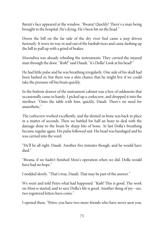Baruti's face appeared at the window. "Bwana! Quickly! There's a man being brought to the hospital. He's dying. He's been hit on the head."

Down the hill on the far side of the dry river bed came a jeep driven furiously. It wove its way in and out of the baobab trees and came dashing up the hill to pull up with a grind of brakes.

Mwendwa was already reboiling the instruments. They carried the injured man through the door. "Koh!" said Daudi, "it's Dolla! Look at his head!"

He had little pulse and he was breathing irregularly. Oneside of his skull had been bashed in, but there was a slim chance that he might live if we could take the pressure off his brain quickly.

In the bottom drawer of the instrument cabinet was a box of oddments that occasionally came in handy. I picked up a corkscrew, and dropped it into the steriliser. "Onto the table with him, quickly, Daudi. There's no need for anaesthetic."

The corkscrew worked excellently, and the dented-in bone was back in place in a matter of seconds. Then we battled for half an hour to deal with the damage done to the brain by sharp bits of bone. At last Dolla's breathing became regular again. His pulse followed suit. His head was bandaged and he wascarried into the ward.

"He'll be all right, Daudi. Another five minutes though, and he would have died."

"Bwana, if we hadn't finished Mosi's operation when we did, Dolla would have had no hope."

I nodded slowly. "That's true, Daudi. That may be part of the answer."

We went and told Petro what had happened. "*Kah!* This is good. The work on Mosi is started; and to save Dolla's life is good. Another thing of joy—see, two registered letters have come."

I opened these. "Petro, you have two more friends who have never seen you,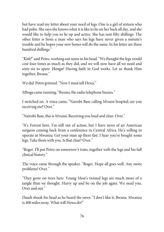but have read my letter about your need of legs. One is a girl of sixteen who had polio. She says she knows what it is like to lie on her back all day, and she would like to help you to be up and active. She has sent fifty shillings. The other letter is from a man who says his legs have never given a minute's trouble and he hopes your new bones will do the same. In his letter are three hundred shillings."

"Koh!" said Petro, working out sums in his head. "We thought the legs would cost four times as much as they did, and we will now have all we need and sixty-six to spare. *Hongo!* Having faith in God works. Let us thank Him together, Bwana."

We did. Petro grinned. "Now I must tell Hewa."

Mboga came running. "Bwana, the radio telephone buzzes."

I switched on. A voice came, "Nairobi Base calling Mvumi hospital; are you receiving me? Over."

"Nairobi Base, this is Mvumi. Receiving you loud and clear. Over."

"It's Forrest here. I'm still out of action, but I have news of an American surgeon coming back from a conference in Central Africa. He's willing to operate at Mwanza. Get your man up there fast. I hear you've bought some legs. Take them with you. Is that clear? Over."

"Roger. I'll put Petro on tomorrow's train, together with the legs and his full clinical history."

The voice came through the speaker. "Roger. Hope all goes well. Any more problems? Over."

"They grow on trees here. Young Mosi's twisted legs are much more of a tangle than we thought. Hurry up and be on the job again. We need you. Over and out."

Daudi shook his head as he heard the news. "I don't like it, Bwana. Mwanza is 400 miles away. What will Hewa do?"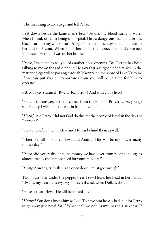"The first thing to do is to go and tell Petro."

I sat down beside the lame man's bed. "Bwana, my blood turns to water when I think of Dolla being in hospital. He's a dangerous man, and brings black fear into my wife's heart. Hongo! I'm glad these days that I am near to her and to Aramu. When I told her about the money she hardly seemed interested. Her mind was on her brother."

"Petro, I've come to tell you of another door opening. Dr. Forrest has been talking to me on the radio phone. He says that a surgeon of great skill in the matter of legs will be passing through Mwanza on the shore of Lake Victoria. If we can put you on tomorrow's train you will be in time for him to operate."

Petro looked stunned. "Bwana, tomorrow! And with Dolla here!"

"Here is the answer, Petro; it comes from the Book of Proverbs, 'As you go step by step I will open the way in front of you.' "

"Heeh," said Petro, "did not God do this for the people of Israel in the days of Pharaoh?"

"He went before them, Petro, and He was behind them as well."

"Then He will look after Hewa and Aramu. This will be my prayer many times a day."

"Petro, did you realise that the money we have over from buying the legs is almost exactly the sum we need for your train fare?"

"Hongo! Bwana, truly this is an open door. I must go through."

Two hours later under the pepper trees I saw Hewa, her head in her hands. "Bwana, my heart is heavy. My bones feel weak when Dolla is about."

"Have no fear, Hewa. He will be looked after."

"Hongo! You don't know him as I do. To have him here is bad, but for Petro to go away just now! Kah! What shall we do? Aramu has this sickness. If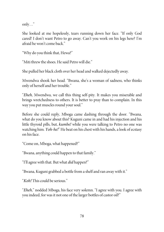only…"

She looked at me hopelessly, tears running down her face. "If only God cared! I don't want Petro to go away. Can't you work on his legs here? I'm afraid he won't come back."

"Why do you think that, Hewa?"

"Miti threw the shoes. He said Petro will die."

She pulled her black cloth over her head and walked dejectedly away.

Mwendwa shook her head. "Bwana, she's a woman of sadness, who thinks only of herself and her trouble."

"Eheh, Mwendwa, we call this thing self-pity. It makes you miserable and brings wretchedness to others. It is better to pray than to complain. In this way you put muscles round your soul."

Before she could reply, Mboga came dashing through the door. "Bwana, what do you know about this? Kuguni came in and had his injection and his little thyroid pills, but, *kumbe!* while you were talking to Petro no one was watching him. Yoh-he!" He beat on his chest with his hands, a look of ecstasy on his face.

"Come on, Mboga, what happened?"

"Bwana, anything could happen to that family."

"I'll agree with that. But what *did* happen?"

"Bwana, Kuguni grabbed a bottle from a shelf and ran away with it."

"Koh! This could be serious."

"Eheh," nodded Mboga, his face very solemn. "I agree with you. I agree with you indeed, for was it not one of the larger bottles of castor oil?"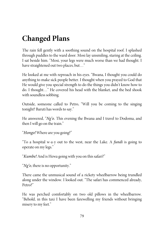# **Changed Plans**

The rain fell gently with a soothing sound on the hospital roof. I splashed through puddles to the ward door. Mosi lay unsmiling, staring at the ceiling. I sat beside him. "Mosi, your legs were much worse than we had thought. I have straightened out two places, but..."

He looked at me with reproach in his eyes. "Bwana, I thought you could do anything to make sick people better. I thought when you prayed to God that He would give you special strength to do the things you didn't know how to do. I thought…" He covered his head with the blanket, and the bed shook with soundless sobbing.

Outside, someone called to Petro, "Will you be coming to the singing tonight? Baruti has words to say."

He answered, "Ng'o. This evening the Bwana and I travel to Dodoma, and then I will go on the train."

"Hongo! Where are you going?"

"To a hospital w-a-y out to the west, near the Lake. A *fundi* is going to operate on my legs."

"Kumbe! And is Hewa going with you on this safari?"

" $Ng'o$ , there is no opportunity."

There came the unmusical sound of a rickety wheelbarrow being trundled along under the window. I looked out. "The safari has commenced already, Petro?"

He was perched comfortably on two old pillows in the wheelbarrow. "Behold, in this taxi I have been farewelling my friends without bringing misery to my feet."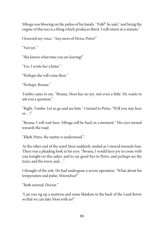Mboga was blowing on the palms of his hands. "Yoh!" hesaid, "and being the engine of this taxi is a thing which produces thirst. I will return in a minute."

I lowered my voice. "Any news of Hewa, Petro?"

"Not yet."

"She knows what time you areleaving?"

"Yes. I wrote her a letter."

"Perhaps she will come then."

"Perhaps, Bwana."

Tembo came to me. "Bwana, Mosi has no joy, not even a little. He wants to ask you a question."

"Right, Tembo. Let us go and see him." I turned to Petro, "Will you stay here or…?"

"Bwana, I will wait here. Mboga will be back in a moment." His eyes turned towards the road.

"Eheh, Petro, the matter is understood."

At the other end of the ward Mosi suddenly smiled as I moved towards him. There was a pleading look in his eyes. "Bwana, I would have joy to come with you tonight on this safari, and to say good-bye to Petro, and perhaps see the train, and the town, and…"

I thought of the risk. He had undergone a severe operation. "What about his temperature and pulse, Mwendwa?"

"Both normal, Doctor."

"Can you rig up a mattress and some blankets in the back of the Land Rover so that wecan take Mosi with us?"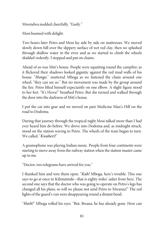Mwendwa nodded cheerfully. "Easily."

Mosi beamed with delight.

Two hours later Petro and Mosi lay side by side on mattresses. We moved slowly down hill over the slippery surface of wet red clay, then we splashed through shallow water in the river and as we started to climb the wheels skidded violently. I stopped and put on chains.

Ahead of us was Miti's house. People were squatting round the campfire; as it flickered their shadows looked gigantic against the red mud walls of his house. "Hongo," muttered Mboga as we fastened the chain around one wheel, "they can see us." But no movement was made by the group around the fire. Petro lifted himself expectantly on one elbow. A slight figure stood to her feet. "It's Hewa!" breathed Petro. But she turned and walked through the door into the darkness of Miti's house.

I put the car into gear and we moved on past Medicine Man's Hill on the road to Dodoma.

During that journey through the tropical night Mosi talked more than I had ever heard him do before. We drove into Dodoma and, as midnight struck, stood on the station waving to Petro. The wheels of the train began to turn. We called, "Kwaheri!"

A gramophone was playing Indian music. People from four continents were starting to move away from the railway station when the station master came up to me.

"Doctor, two telegrams have arrived for you."

I thanked him and tore them open. "Kah! Mboga, here's trouble. This one says to go at once to Kilimatinde—that is eighty miles' safari from here. The second one says that the doctor who was going to operate on Petro's legs has changed all his plans, so will we please not send Petro to Mwanza!" The red lights of the guard's van were disappearing round a distant bend.

"Heeh!" Mboga rolled his eyes. "But, Bwana, he has already gone. How can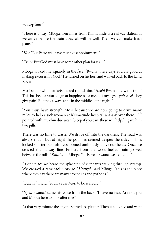we stop him?"

"There is a way, Mboga. Ten miles from Kilimatinde is a railway station. If we arrive before the train does, all will be well. Then we can make fresh plans."

"Koh! But Petro will have much disappointment."

"Truly. But God must havesome other plan for us…"

Mboga looked me squarely in the face. "Bwana, these days you are good at making excuses for God." Heturned on his heel and walked back to the Land Rover.

Mosi sat up with blankets tucked round him. "Heeh! Bwana, I saw the train! This has been a safari of great happiness for me, but my legs—yoh-hee! They give pain! But they always ache in the middle of the night."

"You must have strength, Mosi, because we are now going to drive many miles to help a sick woman at Kilimatinde hospital w-a-a-y over there…" I pointed with my chin due west. "Sleep if you can; these will help." I gave him two pills.

There was no time to waste. We drove off into the darkness. The road was always rough but at night the potholes seemed deeper; the sides of hills looked sinister. Baobab trees loomed ominously above our heads. Once we crossed the railway line. Embers from the wood-fuelled train glowed between the rails. "Kah!" said Mboga, "all is well, Bwana, we'll catch it."

At one place we heard the splashing of elephants walking through swamp. We crossed a ramshackle bridge. "Hongo!" said Mboga, "this is the place where they say there are many crocodiles and pythons."

"Quietly," I said, "you'll cause Mosi to be scared..."

"Ng'o, Bwana," came his voice from the back, "I have no fear. Are not you and Mboga here to look after me?"

At that very minute the engine started to splutter. Then it coughed and went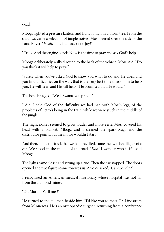dead.

Mboga lighted a pressure lantern and hung it high in a thorn tree. From the shadows came a selection of jungle noises. Mosi peered over the side of the Land Rover. "Heeh! This is a place of no joy!"

"Truly. And the engine is sick. Now is the time to pray and ask God's help."

Mboga deliberately walked round to the back of the vehicle. Mosi said, "Do you think it will help to pray?"

"Surely when you've asked God to show you what to do and He does, and you find difficulties on the way, that is the very best time to ask Him to help you. He will hear, and He will help—He promised that He would."

The boy shrugged. "Well, Bwana, you pray…"

I did. I told God of the difficulty we had had with Mosi's legs, of the problems of Petro's being in the train, while we were stuck in the middle of the jungle.

The night noises seemed to grow louder and more eerie. Mosi covered his head with a blanket. Mboga and I cleaned the spark-plugs and the distributor points, but the motor wouldn't start.

And then, along the track that we had travelled, came the twin headlights of a car. We stood in the middle of the road. "Koh! I wonder who it is?" said Mboga.

The lights came closer and swung up a rise. Then the car stopped. The doors opened and two figures came towards us. A voice asked, "Can we help?"

I recognised an American medical missionary whose hospital was not far from the diamond mines.

"Dr. Martin! Well met!"

He turned to the tall man beside him. "I'd like you to meet Dr. Lindstrom from Minnesota. He's an orthopaedic surgeon returning from a conference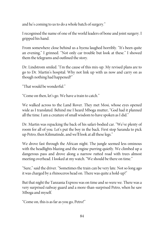and he's coming to us to do a whole batch of surgery."

I recognised the name of one of the world leaders of bone and joint surgery. I gripped his hand.

From somewhere close behind us a hyena laughed horribly. "It's been quite an evening," I grinned. "Not only car trouble but look at these." I showed them the telegrams and outlined the story.

Dr. Lindstrom smiled. "I'm the cause of this mix-up. My revised plans are to go to Dr. Martin's hospital. Why not link up with us now and carry on as though nothing had happened?"

"That would be wonderful."

"Come on then, let's go. We have a train to catch."

We walked across to the Land Rover. They met Mosi, whose eyes opened wide as I translated. Behind me I heard Mboga mutter, "God had it planned all the time. I am a creature of small wisdom to have spoken as I did."

Dr. Martin was repacking the back of his safari-bodied car. "We've plenty of room for all of you. Let's put the boy in the back. First stop Saranda to pick up Petro, then Kilimatinde, and we'll look at all theselegs."

We drove fast through the African night. The jungle seemed less ominous with the headlights blazing and the engine purring quietly. We climbed up a dangerous pass and drove along a narrow rutted road with trees almost meeting overhead. I looked at my watch. "We should be there on time."

"Sure," said the driver. "Sometimes the train can be very late. Not so long ago it was charged by a rhinoceros head on. There was quite a hold-up!"

But that night the Tanzania Express was on time and so were we. There was a very surprised railway guard and a more-than-surprised Petro, when he saw Mboga and myself.

"Come on, this is as far as you go, Petro!"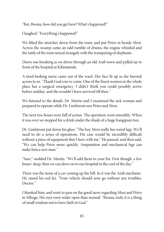"But, Bwana, how did you get here? What's happened?"

I laughed. "Everything's happened!"

We lifted the stretcher down from the train, and put Petro in beside Mosi. Across the swamp came an odd rumble of drums, the engine whistled and the rattle of the train mixed strangely with the trumpeting of elephants.

Dawn was breaking as we drove through an old Arab town and pulled up in front of the hospital at Kilimatinde.

A tired-looking nurse came out of the ward. Her face lit up as she hurried across to us. "Thank God you've come. One of the finest women in the whole place has a surgical emergency. I didn't think you could possibly arrive before midday, and she wouldn't have survived till then."

We listened to the details. Dr. Martin and I examined the sick woman and prepared to operate while Dr. Lindstrom saw Petro and Mosi.

The next two hours were full of action. The operation went smoothly. When it was over we stopped for a drink under the shade of a huge frangipani tree.

Dr. Lindstrom put down his glass. "The boy Mosi really has weird legs. We'll need to do a series of operations. His case would be incredibly difficult without a piece of equipment that I have with me." He paused, and then said, "We can help Petro more quickly. Amputation and mechanical legs can make him a new man."

"Sure," nodded Dr. Martin. "We'll add them to your list. First though, a few hours' sleep; then we can drive on to our hospital in the cool of the day."

There was the noise of a car coming up the hill. In it was the Arab mechanic. He raised his red fez. "Your vehicle should now go without any troubles, Doctor."

I thanked him, and went to pass on the good news regarding Mosi and Petro to Mboga. His eyes were wider open than normal. "Bwana, truly it is a thing of small wisdom not to have faith in God."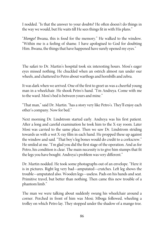I nodded. "Is that the answer to your doubts? He often doesn't do things in the way we would, but He waits till He sees things fit in with His plans."

"Hongo! Bwana, this is food for the memory." He walked to the window. "Within me is a feeling of shame. I have apologised to God for doubting Him. Bwana, the things that have happened have surely opened my eyes."

The safari to Dr. Martin's hospital took six interesting hours. Mosi's eager eyes missed nothing. He chuckled when an ostrich almost ran under our wheels, and chattered to Petro about warthogs and hornbills and zebra.

It was dark when we arrived. One of the first to greet us was a cheerful young man in a wheelchair. He shook Petro's hand. "I'm Andreya. Come with me to the ward. Mosi's bed is between yours and mine."

"That man," said Dr. Martin. "has a story very like Petro's. They'll enjoy each other's company. Now for bed."

Next morning Dr. Lindstrom started early. Andreya was his first patient. After a long and careful examination he took him to the X-ray room. Later Mosi was carried to the same place. Then we saw Dr. Lindstrom striding towards us with a wet X-ray film in each hand. He propped these up against the window and said. "That boy's leg bones would do credit to a corkscrew." He smiled at me. "I'm glad you did the first stage of the operation. And as for Petro, his condition is clear. The main necessity is to give him stumps that fit the legs you have bought. Andreya's problem was very different."

Dr. Martin nodded. He took some photographs out of an envelope. "Here it is in pictures. Right leg very bad—amputated—crutches. Left leg shows the trouble—amputated also. Wooden legs—useless. Pads on his hands and seat. Primitive travel, but better than nothing. Then came this new trouble of a phantom limb."

The man we were talking about suddenly swung his wheelchair around a corner. Perched in front of him was Mosi; Mboga followed, wheeling a trolley on which Petro lay. They stopped under the shadow of a mango tree.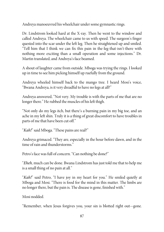Andreya manoeuvred his wheelchair under some gymnastic rings.

Dr. Lindstrom looked hard at the X-ray. Then he went to the window and called Andreya. The wheelchair came to us with speed. The surgeon's finger quested into the scar under the left leg. Then he straightened up and smiled. "Tell him that I think we can fix this pain in the-leg-that-isn't-there with nothing more exciting than a small operation and some injections." Dr. Martin translated, and Andreya's face beamed.

A shout of laughter came from outside. Mboga was trying the rings. I looked up in timeto see him picking himself up ruefully from the ground.

Andreya wheeled himself back to the mango tree. I heard Mosi's voice, "Bwana Andreya, is it very dreadful to have no legs at all?"

Andreya answered, "Not very. My trouble is with the parts of me that are no longer there." He rubbed the muscles of his left thigh.

"Not only do my legs itch, but there's a burning pain in my big toe, and an ache in my left shin. Truly it is a thing of great discomfort to have troubles in parts of me that have been cut off."

"Kah!" said Mboga. "These pains are real?"

Andreya grimaced. "They are, especially in the hour before dawn, and in the time of rain and thunderstorms."

Petro's face was full of concern. "Can nothing be done?"

"Eheh, much can be done. Bwana Lindstrom has just told me that to help me is a small thing of no pain at all."

"Kah!" said Petro, "I have joy in my heart for you." He smiled quietly at Mboga and Mosi. "There is food for the mind in this matter. The limbs are no longer there, but the pain is. The disease is gone, finished with."

Mosi nodded.

"Remember, when Jesus forgives you, your sin is blotted right out—gone.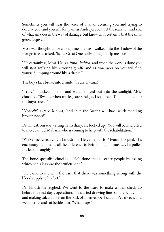Sometimes you will hear the voice of Shaitan accusing you and trying to deceive you, and you will feel pain as Andreya does. Let the scars remind you of what sin does in the way of damage, but know with certainty that thesin is gone, forgiven."

Mosi was thoughtful for a long time, then as I walked into the shadow of the mango tree he asked, "Is the Great One really going to help me too?"

"He certainly is, Mosi. He is a *fundi kabisa*, and when the work is done you will start walking like a young giraffe and as time goes on you will find yourself jumping around like a dicdic."

The boy's face broke into a smile. "Truly, Bwana?"

"Truly." I picked him up and we all moved out into the sunlight. Mosi chuckled, "Bwana, when my legs are straight, I shall race Tembo and climb the buyu tree…"

"Neheeh!" agreed Mboga, "and then the Bwana will have work mending broken necks!"

Dr. Lindstrom was writing in his diary. He looked up. "You will be interested to meet Samuel Mabarti, who is coming to help with the rehabilitation."

"We've met already, Dr. Lindstrom. He came out to Mvumi Hospital. His encouragement made all the difference to Petro, though I must say he pulled my leg thoroughly."

The bone specialist chuckled. "He's done that to other people by asking which of his legs was the artificial one."

"He came to me with the yarn that there was something wrong with the blood supply to his feet."

Dr. Lindstrom laughed. We went to the ward to make a final check-up before the next day's operations. He started drawing lines on the X-ray film and making calculations on the back of an envelope. I caught Petro's eye, and went across and sat beside him. "What's up?"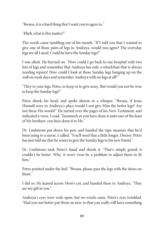"Bwana, it is a hard thing that I want you to agreeto."

"Eheh, what is this matter?"

The words came tumbling out of his mouth. "If I told you that I wanted to give one of those pairs of legs to Andreya, would you agree? The everyday legs are all I need. Could he have the Sunday legs?"

I was silent. He hurried on. "How could I go back to our hospital with two lots of legs and remember that Andreya has only a wheelchair that is always needing repairs? How could I look at those Sunday legs hanging up on the wall on week days and remember Andreya with no legs at all?"

"They're your legs, Petro, to keep or to give away. But would you not be wise to keep the Sunday legs?"

Petro shook his head, and spoke almost in a whisper. "Bwana, if Jesus Himself were in Andreya's place would I not give Him the better legs? Are not these His words?" He turned over the pages of his New Testament, and indicated a verse. I read, "Inasmuch as you have done it unto one of the least of My brothers, you have doneit to Me."

Dr. Lindstrom put down his pen, and handed the tape measure that he'd been using to a nurse. I called, "You'll need that a little longer, Doctor. Petro has just told me that he wants to give the Sunday legs to his new friend."

Dr. Lindstrom took Petro's hand and shook it. "That's simply grand; it couldn't be better. Why, it won't even be a problem to adjust them to fit him"

Petro pointed under the bed. "Bwana, please pass the legs with the shoes on them."

I did so. He leaned across Mosi's cot, and handed these to Andreya. "They are my gift to you."

Andreya's eyes were wide open, but no words came. Petro's eyes twinkled. "Had you not better put them on now so that you really will have something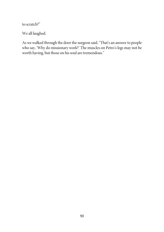to scratch?"

We all laughed.

As we walked through the door the surgeon said, "That's an answer to people who say, 'Why do missionary work?' The muscles on Petro's legs may not be worth having, but those on his soul are tremendous."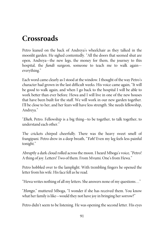## **Crossroads**

Petro leaned on the back of Andreya's wheelchair as they talked in the moonlit garden. He sighed contentedly. "All the doors that seemed shut are open, Andreya—the new legs, the money for them, the journey to this hospital, the *fundi* surgeon, someone to teach me to walk again everything."

Each word cameclearly as I stood at the window. I thought of the way Petro's character had grown in the last difficult weeks. His voice came again, "It will be good to walk again, and when I go back to the hospital I will be able to work better than ever before. Hewa and I will live in one of the new houses that have been built for the staff. We will work in our new garden together. I'll be close to her, and her fears will have less strength. She needs fellowship, Andreya."

"Eheh, Petro. Fellowship is a big thing—to be together, to talk together, to understand each other."

The crickets chirped cheerfully. There was the heavy sweet smell of frangipani. Petro drew in a deep breath, "Yoh! Even my leg feels less painful tonight."

Abruptly a dark cloud rolled across the moon. I heard Mboga's voice, "Petro! A thing of joy. Letters! Two of them. From Mvumi. One's from Hewa."

Petro hobbled over to the lamplight. With trembling fingers he opened the letter from his wife. His facefell as heread.

"Hewa writes nothing of all my letters. She answers none of my questions…"

"Hongo," muttered Mboga, "I wonder if she has received them. You know what her family is like—would they not have joy in bringing her sorrow?"

Petro didn't seem to be listening. He was opening the second letter. His eyes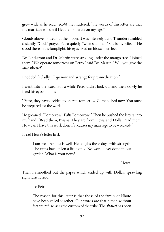grew wide as he read. "Koh!" he muttered, "the words of this letter are that my marriage will die if I let them operate on my legs."

Clouds above blotted out the moon. It was intensely dark. Thunder rumbled distantly. "God," prayed Petro quietly, "what shall I do? She is my wife..." He stood there in the lamplight, his eyes fixed on his swollen feet.

Dr. Lindstrom and Dr. Martin were strolling under the mango tree. I joined them. "We operate tomorrow on Petro," said Dr. Martin. "Will you give the anaesthetic?"

I nodded. "Gladly. I'll go now and arrange for pre-medication."

I went into the ward. For a while Petro didn't look up, and then slowly he fixed his eyes on mine.

"Petro, they have decided to operate tomorrow. Come to bed now. You must be prepared for the work."

He groaned. "Tomorrow! Yoh! Tomorrow!" Then he pushed the letters into my hand. "Read them, Bwana. They are from Hewa and Dolla. Read them! How can I have this work done if it causes my marriage to be wrecked?"

I read Hewa's letter first:

I am well. Aramu is well. He coughs these days with strength. The rains have fallen a little only. No work is yet done in our garden. What is your news?

Hewa.

Then I smoothed out the paper which ended up with Dolla's sprawling signature. It read:

To Petro,

The reason for this letter is that those of the family of Nhoto have been called together. Our words are that a man without feet we refuse, as is the custom of the tribe. The *shauri* has been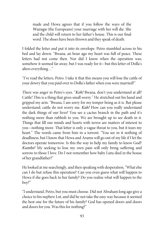made and Hewa agrees that if you follow the ways of the Wazugu (the Europeans) your marriage with her will die. She and the child will return to her father's house. This is our final word. The shoes have been thrown and they speak of death.

I folded the letter and put it into its envelope. Petro stumbled across to his bed and lay down. "Bwana, an hour ago my heart was full of peace. These letters had not come then. Nor did I know when the operation was; somehow it seemed far away, but I was ready for it—but this letter of Dolla's alters everything..."

"I've read the letters, Petro. I take it that this means you will lose the cattle of your dowry that you paid over to Dolla's father when you were married?"

There was anger in Petro's eyes. "Koh! Bwana, don't you understand at all? Cattle! This is a thing that gives small worry." He stretched out his hand and gripped my arm. "Bwana, I am sorry for my temper being as it is. But please understand, cattle do not worry me. Kah! How can you really understand the dark things of our lives? You see a cactus branch in the path and it's nothing more than rubbish to you. We are brought up to see death in it. Things that fill our minds and hearts with terror are matters of interest to you—nothing more. That letter is only a vague threat to you, but it tears my heart." The words came from him in a torrent. "You see in it nothing of deadliness, but I know that Hewa and Aramu will go out of my lifeif I let the doctors operate tomorrow. Is this the way to help my family to know God? Kumbe! My seeking to lose my own pain will only bring suffering and sorrow to those I love. Do I not remember how baby Lutu died in the house of her grandfather?"

He looked at me searchingly, and then speaking with desperation, "What else can I do but refuse this operation? Can you even guess what will happen to Hewa if she goes back to her family? Do you realise what will happen to the boy?"

"I understand, Petro, but you mustchoose. Did not Abraham long ago give a choice to his nephew Lot, and did he not take the easy way because it seemed the best one for the future of his family? God has opened doors and doors and doors for you. Was this for nothing?"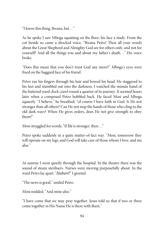"I know this thing, Bwana, but…"

As he spoke I saw Mboga squatting on the floor, his face a study. From the cot beside us came a shocked voice, "Bwana Petro! Then all your words about the Great Shepherd and Almighty God are for others only, and not for yourself? And all the things you said about my father's death…" His voice broke.

"Does this mean that you don't trust God any more?" Mboga's eyes were fixed on the haggard face of his friend.

Petro ran his fingers through his hair and bowed his head. He staggered to his feet and stumbled out into the darkness. I watched the minute hand of the battered ward clock crawl round a quarter of its journey. It seemed hours later when a composed Petro hobbled back. He faced Mosi and Mboga squarely. "I believe," he breathed; "of course I have faith in God. Is He not stronger than all others? Can He not stop the hands of those who cling to the old dark ways? When He gives orders, does He not give strength to obey them?"

Mosi struggled for words, "If He is stronger, then..."

Petro spoke suddenly in a quite matter-of-fact way. "Mosi, tomorrow they will operate on my legs, and God will take care of those whom I love, and me also."

At sunrise I went quietly through the hospital. In the theatre there was the sound of steam sterilisers. Nurses were moving purposefully about. In the ward Petro lay quiet. "Habari?" I greeted.

"The news is good," smiled Petro.

Mosi nodded, "And mine also."

"I have come that we may pray together. Jesus told us that if two or three come together in His Name He is there with them."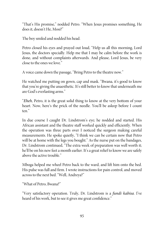"That's His promise," nodded Petro. "When Jesus promises something, He does it, doesn't He, Mosi?"

The boy smiled and nodded his head.

Petro closed his eyes and prayed out loud, "Help us all this morning, Lord Jesus, the doctors specially. Help me that I may be calm before the work is done, and without complaints afterwards. And please, Lord Jesus, be very closeto the ones welove."

A voice came down the passage, "Bring Petro to the theatre now."

He watched me putting on gown, cap and mask. "Bwana, it's good to know that you're giving the anaesthetic. It's still better to know that underneath me are God's everlasting arms."

"Eheh, Petro, it is the great solid thing to know at the very bottom of your heart. Now, here's the prick of the needle. You'll be asleep before I count ten."

In due course I caught Dr. Lindstrom's eye; he nodded and started. His African assistant and the theatre staff worked quickly and efficiently. When the operation was three parts over I noticed the surgeon making careful measurements. He spoke quietly, "I think we can be certain now that Petro will be at home with the legs you bought." As the nurse put on the bandages, Dr. Lindstrom continued, "The extra week of preparation was well worth it; he'll be on his new feet a month earlier. It's a great relief to know we are safely above the active trouble."

Mboga helped me wheel Petro back to the ward, and lift him onto the bed. His pulse was full and firm. I wrote instructions for pain control, and moved across to the next bed. "Well, Andreya?"

"What of Petro, Bwana?"

"Very satisfactory operation. Truly, Dr. Lindstrom is a fundi kabisa. I've heard of his work, but to see it gives me great confidence."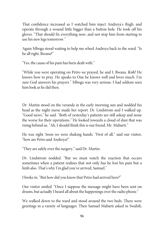That confidence increased as I watched him inject Andreya's thigh, and operate through a wound little bigger than a button hole. He took off his gloves. "That should fix everything now, and not stop him from starting to use his new legs tomorrow."

Again Mboga stood waiting to help me wheel Andreya back to the ward. "Is he all right, Bwana?"

"Yes, the cause of his pain has been dealt with."

"While you were operating on Petro we prayed, he and I, Bwana. Koh! He knows how to pray. He speaks to One he knows well and loves much. I'm sure God answers his prayers." Mboga was very serious. I had seldom seen him look as he did then.

Dr. Martin stood on the veranda in the early morning sun and nodded his head as the night nurse made her report. Dr. Lindstrom and I walked up. "Good news," he said. "Both of yesterday's patients are still asleep and none the worse for their operations." He looked towards a cloud of dust that was rising behind us. "Ah, I should think this is our friend, Mr. Mabarti."

He was right. Soon we were shaking hands. "First of all," said our visitor, "how are Petro and Andreya?"

"They are safely over the surgery," said Dr. Martin.

Dr. Lindstrom nodded. "But we must watch the reaction that occurs sometimes when a patient realises that not only has he lost his pain but a limb also. That's why I'm glad you've arrived, Samuel."

I broke in, "But how did you know that Petro had arrived here?"

Our visitor smiled. "Once I suppose the message might have been sent on drums, but actually I heard all about the happenings over the radio phone."

We walked down to the ward and stood around the two beds. There were greetings in a variety of languages. Then Samuel Mabarti asked in Swahili,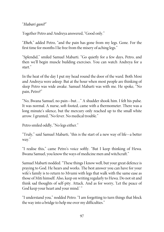"Habari gani?"

Together Petro and Andreya answered, "Good only."

"Eheh," added Petro, "and the pain has gone from my legs. Gone. For the first time for months I lie free from the misery of aching legs."

"Splendid," smiled Samuel Mabarti. "Go quietly for a few days, Petro, and then we'll begin muscle building exercises. You can watch Andreya for a start<sup>"</sup>

In the heat of the day I put my head round the door of the ward. Both Mosi and Andreya were asleep. But at the hour when most people are thinking of sleep Petro was wide awake. Samuel Mabarti was with me. He spoke, "No pain, Petro?"

"No, Bwana Samuel, no pain—but…" A shudder shook him. I felt his pulse. It was normal. A nurse, soft-footed, came with a thermometer. There was a long minute's silence, but the mercury only reached up to the small white arrow. I grunted, "No fever. No medical trouble."

Petro smiled oddly, "No legs either."

"Truly," said Samuel Mabarti, "this is the start of a new way of life—a better way."

"I realise this," came Petro's voice softly. "But I keep thinking of Hewa. Bwana Samuel, you know the ways of medicine men and witchcraft."

Samuel Mabarti nodded. "These things I know well, but your great defence is praying to God. He hears and works. The best answer you can have for your wife's family is to return to Mvumi with legs that walk with the same ease as those of Miti himself. Also, keep on writing regularly to Hewa. Do not sit and think sad thoughts of self-pity. Attack. And as for worry, 'Let the peace of God keep your heart and your mind.'"

"I understand you," nodded Petro. "I am forgetting to turn things that block the way into a bridge to help me over my difficulties."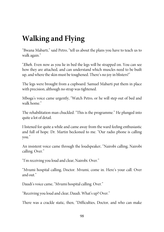## **Walking and Flying**

"Bwana Mabarti," said Petro, "tell us about the plans you have to teach us to walk again."

"Eheh. Even now as you lie in bed the legs will be strapped on. You can see how they are attached, and can understand which muscles need to be built up, and where the skin must be toughened. There's no joy in blisters!"

The legs were brought from a cupboard. Samuel Mabarti put them in place with precision, although no strap was tightened.

Mboga's voice came urgently, "Watch Petro, or he will step out of bed and walk home."

The rehabilitation man chuckled. "This is the programme." He plunged into quite a lot of detail.

I listened for quite a while and came away from the ward feeling enthusiastic and full of hope. Dr. Martin beckoned to me. "Our radio phone is calling you."

An insistent voice came through the loudspeaker, "Nairobi calling, Nairobi calling. Over."

"I'm receiving you loud and clear, Nairobi. Over."

"Mvumi hospital calling, Doctor. Mvumi, come in. Here's your call. Over and out."

Daudi's voice came, "Mvumi hospital calling. Over."

"Receiving you loud and clear, Daudi. What's up? Over."

There was a crackle static, then, "Difficulties, Doctor, and who can make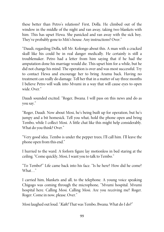these better than Petro's relations? First, Dolla. He climbed out of the window in the middle of the night and ran away, taking two blankets with him. This has upset Hewa. She panicked and ran away with the sick boy. They've probably gone to Miti's house. Any instructions? Over."

"Daudi, regarding Dolla, tell Mr. Kolongo about this. A man with a cracked skull like his could be in real danger medically. He certainly is still a troublemaker. Petro had a letter from him saying that if he had the amputation done his marriage would die. This upset him for a while, but he did not change his mind. The operation is over and was most successful. Try to contact Hewa and encourage her to bring Aramu back. Having no treatment can really do damage. Tell her that in a matter of say three months I believe Petro will walk into Mvumi in a way that will cause eyes to open wide. Over."

Daudi sounded excited. "Roger, Bwana. I will pass on this news and do as you say."

"Roger, Daudi. Now about Mosi, he's being built up for operation, but he's jumpy and a bit homesick. Tell you what, hold the phone open and bring Tembo, while I collect Mosi. A little chat like this might help considerably. What do you think? Over."

"Very good idea. Tembo is under the pepper trees; I'll call him. I'll leave the phone open from this end."

I hurried to the ward. A forlorn figure lay motionless in bed staring at the ceiling. "Come quickly, Mosi, I want you to talk to Tembo."

"To Tembo?" Life came back into his face. "Is he here? How did he come? What…"

I carried him, blankets and all, to the telephone. A young voice speaking Chigogo was coming through the microphone, "Mvumi hospital. Mvumi hospital here. Calling Mosi. Calling Mosi. Are you receiving me? Roger. Roger. Come in now, please. Over."

Mosi laughed out loud. "Kah! That was Tembo, Bwana. What do I do?"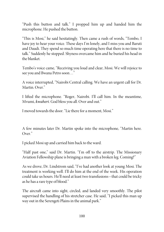"Push this button and talk." I propped him up and handed him the microphone. He pushed the button.

"This is Mosi," he said hesitatingly. Then came a rush of words, "Tembo, I have joy to hear your voice. These days I'm lonely, and I miss you and Baruti and Daudi. They spend so much time operating here that there is no time to talk." Suddenly he stopped. Shyness overcame him and he buried his head in the blanket.

Tembo's voice came, "Receiving you loud and clear, Mosi. We will rejoice to see you and Bwana Petro soon…"

A voice interrupted, "Nairobi Central calling. We have an urgent call for Dr. Martin. Over."

I lifted the microphone. "Roger, Nairobi. I'll call him. In the meantime, Mvumi, kwaheri. God bless you all. Over and out."

I moved towards the door. "Lietherefor a moment, Mosi."

A few minutes later Dr. Martin spoke into the microphone, "Martin here. Over<sup>"</sup>

I picked Mosi up and carried him back to the ward.

"Half past one," said Dr. Martin. "I'm off to the airstrip. The Missionary Aviation Fellowship plane is bringing a man with a broken leg. Coming?"

As we drove, Dr. Lindstrom said, "I've had another look at young Mosi. The treatment is working well. I'll do him at the end of the week. His operation could take us hours. He'll need at least two transfusions—that could be tricky as he has a rare type of blood."

The aircraft came into sight, circled, and landed very smoothly. The pilot supervised the handling of his stretcher case. He said, "I picked this man up way out in the Serengeti Plains in the animal park."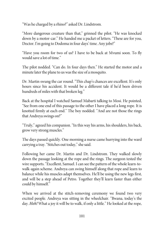"Was hecharged by a rhino?" asked Dr. Lindstrom.

"More dangerous creature than that," grinned the pilot. "He was knocked down by a motor-car." He handed me a packet of letters. "These are for you, Doctor. I'm going to Dodoma in four days' time. Any jobs?"

"Have you room for two of us? I have to be back at Mvumi soon. To fly would save a lot of time."

The pilot nodded. "Can do. In four days then." He started the motor and a minute later the plane to us was the size of a mosquito.

Dr. Martin swung the car round. "This chap's chances are excellent. It's only hours since his accident. It would be a different tale if he'd been driven hundreds of miles with that broken leg."

Back at the hospital I watched Samuel Mabarti talking to Mosi. He pointed, "See from one end of this passage to the other I have placed a long rope. It is knotted firmly at each end." The boy nodded. "And are not those the rings that Andreya swings on?"

"Truly," agreed hiscompanion. "In this way his arms, his shoulders, his back, grow very strong muscles."

The days passed quickly. One morning a nurse came hurrying into the ward carrying a tray. "Stitches out today," shesaid.

Following her came Dr. Martin and Dr. Lindstrom. They walked slowly down the passage looking at the rope and the rings. The surgeon tested the wire supports. "Excellent, Samuel. I can see the pattern of the whole learn-towalk-again scheme. Andreya can swing himself along that rope and learn to balance while his muscles adapt themselves. He'll be using the new legs first, and will be a step ahead of Petro. Together they'll learn faster than either could by himself."

When we arrived at the stitch-removing ceremony we found two very excited people. Andreya was sitting in the wheelchair. "Bwana, today's the day. Heh! What a joy it will be to walk, if only a little." He looked at the rope,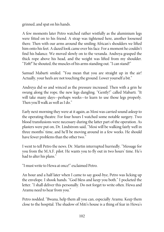grinned, and spat on his hands.

A few moments later Petro watched rather wistfully as the aluminium legs were fitted on to his friend. A strap was tightened here, another loosened there. Then with our arms around the smiling African's shoulders we lifted him onto his feet. A dazed look came over his face. For a moment hecouldn't find his balance. We moved slowly on to the veranda. Andreya grasped the thick rope above his head, and the weight was lifted from my shoulder. "Yoh!" he shouted, the muscles of his arms standing out. "I can stand!"

Samuel Mabarti smiled. "You mean that you are straight up in the air! Actually, your heels are not touching the ground. Lower yourself a bit."

Andreya did so and winced as the pressure increased. Then with a grin he swung along the rope, the new legs dangling. "Gently!" called Mabarti. "It will take many days—perhaps weeks—to learn to use those legs properly. Then you'll walk as well as I do."

Early next morning they were at it again, as Mosi was carried sound asleep to the operating theatre. For four hours I watched some notable surgery. Two blood transfusions were necessary during the latter part of the operation. As plasters were put on, Dr. Lindstrom said, "Mosi will be walking fairly well in three months' time, and he'll be moving around in a few weeks. He should have fewer problems than the other two."

I went to tell Petro the news. Dr. Martin interrupted hurriedly. "Message for you from the M.A.F. pilot. He wants you to fly out in two hours' time. He's had to alter his plans."

"I must writeto Hewa at once!"exclaimed Petro.

An hour and a half later when I came to say good-bye, Petro was licking up the envelope. I shook hands. "God bless and keep you both." I pocketed the letter. "I shall deliver this personally. Do not forget to write often. Hewa and Aramu need to hear from you."

Petro nodded. "Bwana, help them all you can, especially Aramu. Keep them close to the hospital. The shadow of Miti's house is a thing of fear in Hewa's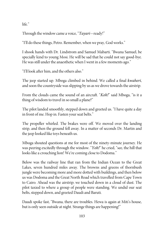life<sup>"</sup>

Through the window came a voice, "Tayari-ready!"

"I'll do these things, Petro. Remember, when we pray, God works."

I shook hands with Dr. Lindstrom and Samuel Mabarti. "Bwana Samuel, be specially kind to young Mosi. He will be sad that he could not say good-bye. He was still under the anaesthetic when I went in a few moments ago."

"I'll look after him, and the others also."

The jeep started up. Mboga climbed in behind. We called a final kwaheri, and soon the countryside was slipping by us as we drove towards the airstrip.

From the clouds came the sound of an aircraft. "Koh!" said Mboga, "is it a thing of wisdom to travel in so small a plane?"

The pilot landed smoothly, stepped down and greeted us. "I have quite a day in front of me. Hop in. Fasten your seat belts."

The propeller whirled. The brakes were off. We moved over the landing strip, and then the ground fell away. In a matter of seconds Dr. Martin and the jeep looked like toys beneath us.

Mboga shouted questions at me for most of the ninety-minute journey. He was peering excitedly through the window. "Yoh!" he cried, "see, the hill that looks like a crouching lion! We're coming close to Dodoma."

Below was the railway line that ran from the Indian Ocean to the Great Lakes, seven hundred miles away. The browns and greens of thornbush jungle were becoming more and more dotted with buildings, and then below us was Dodoma and the Great North Road which travelled from Cape Town to Cairo. Ahead was the airstrip; we touched down in a cloud of dust. The pilot taxied to where a group of people were standing. We undid our seat belts, stepped down, and greeted Daudi and Baruti.

Daudi spoke fast, "Bwana, there are troubles. Hewa is again at Miti's house, but is only seen outside at night. Strange things are happening!"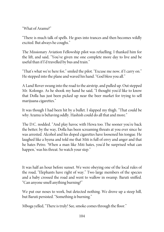"What of Aramu?"

"There is much talk of spells. He goes into trances and then becomes wildly excited. But always he coughs."

The Missionary Aviation Fellowship pilot was refuelling. I thanked him for the lift, and said, "You've given me one complete more day to live and be useful than if I'd travelled by bus and train."

"That's what we're here for," smiled the pilot. "Excuse me now, if I carry on." He stepped into the plane and waved his hand. "God bless you all."

A Land Rover swung into the road to the airstrip, and pulled up. Out stepped Mr. Kolongo. As he shook my hand he said, "I thought you'd like to know that Dolla has just been picked up near the beer market for trying to sell marijuana cigarettes."

It was though I had been hit by a bullet. I slapped my thigh. "That could be why Aramu is behaving oddly. Hashish could do all that and more."

The D.C. nodded. "And play havoc with Hewa too. The sooner you're back the better; by the way, Dolla has been screaming threats at you ever since he was arrested. Alcohol and his doped cigarettes have loosened his tongue. He laughed like a hyena and told me that Miti is full of envy and anger and that he hates Petro. 'When a man like Miti hates, you'd be surprised what can happen,' was his threat. So watch your step."

It was half an hour before sunset. We were obeying one of the local rules of the road, "Elephants have right of way." Two large members of the species and a baby crossed the road and went to wallow in swamp. Baruti sniffed. "Can anyonesmell anything burning?"

We put our noses to work, but detected nothing. We drove up a steep hill, but Baruti persisted. "Something is burning."

Mboga yelled, "There is truly! See, smoke comes through the floor."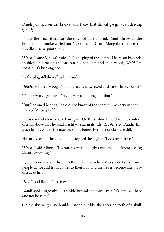Daudi jammed on the brakes, and I saw that the oil gauge was behaving queerly.

Under the truck there was the smell of dust and oil. Daudi threw up the bonnet. Blue smoke welled out. "Look!" said Baruti. Along the road we had travelled was a spoor of oil.

"Heeh!" came Mboga's voice. "It's the plug of the sump." He lay on his back, shuffled underneath the car, put his hand up and then yelled, "Koh! I'm roasted! It's burning hot."

"Is the plug still there?"called Daudi.

"Eheh," shouted Mboga, "but it is nearly unscrewed and the oil leaks from it."

"Dolla's work," grunted Daudi. "He's a cunning one, that."

"But," grinned Mboga, "he did not know of the spare oil we carry in the tin marked 'Antiseptic'."

It was dark when we moved on again. On the skyline I could see the contour of a hill above us. Theroad was like a scar in its side. "Heeh," said Daudi, "this place brings cold to the marrow of my bones. Even the crickets are still."

He turned off the headlights and stopped the engine. "Look over there."

"Heeh!" said Mboga. "It's our hospital. Its lights give me a different feeling about everything."

"Quiet," said Daudi, "listen to those drums. When Miti's wife beats drums people dance and froth comes to their lips, and their eyes become like those of a dead fish."

"Koh!" said Baruti, "this isevil."

Daudi spoke urgently. "Let's hide behind that buyu tree. We can see there and not beseen."

On the skyline granite boulders stood out like the sneering teeth of a skull.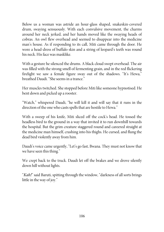Below us a woman was astride an hour-glass shaped, snakeskin-covered drum, swaying sensuously. With each convulsive movement, the charms around her neck jerked, and her hands moved like the swaying heads of cobras. An owl flew overhead and seemed to disappear into the medicine man's house. As if responding to its call, Miti came through the door. He wore a head-dress of buffalo skin and a string of leopard's teeth was round his neck. His face was masklike.

With a gesture he silenced the drums. A black cloud swept overhead. The air was filled with the strong smell of fermenting grain, and in the red flickering firelight we saw a female figure sway out of the shadows. "It's Hewa," breathed Daudi. "She seems in a trance."

Her muscles twitched. She stopped before Miti like someone hypnotised. He bent down and picked up a rooster.

"Watch," whispered Daudi, "he will kill it and will say that it runs in the direction of the one who casts spells that are hostile to Hewa."

With a sweep of his knife, Miti sliced off the cock's head. He tossed the headless bird to the ground in a way that invited it to run downhill towards the hospital. But the grim creature staggered round and careered straight at the medicine man himself, crashing into his thighs. He cursed, and flung the dead bird violently away from him.

Daudi's voice came urgently, "Let's go fast, Bwana. They must not know that we have seen this thing."

We crept back to the truck. Daudi let off the brakes and we drove silently down hill without lights.

"Kah!" said Baruti, spitting through the window, "darkness of all sorts brings little in the way of joy."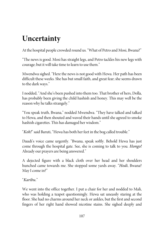# **Uncertainty**

At the hospital people crowded round us. "What of Petro and Mosi, Bwana?"

"The news is good. Mosi has straight legs, and Petro tackles his new legs with courage; but it will take time to learn to use them."

Mwendwa sighed. "Here the news is not good with Hewa. Her path has been difficult these weeks. She has but small faith, and great fear; she seems drawn to the dark ways."

I nodded, "And she's been pushed into them too. That brother of hers, Dolla, has probably been giving the child hashish and honey. This may well be the reason why he talks strangely."

"You speak truth, Bwana," nodded Mwendwa. "They have talked and talked to Hewa, and then shouted and waved their hands until she agreed to smoke hashish cigarettes. This has damaged her wisdom."

"Koh!" said Baruti, "Hewa has both her feet in the bog called trouble."

Daudi's voice came urgently. "Bwana, speak softly. Behold Hewa has just come through the hospital gate. See, she is coming to talk to you. Hongo! Already our prayers are being answered."

A dejected figure with a black cloth over her head and her shoulders hunched came towards me. She stopped some yards away. "Hodi, Bwana? May I come in?"

#### "Karibu."

We went into the office together. I put a chair for her and nodded to Mali, who was holding a teapot questioningly. Hewa sat uneasily staring at the floor. She had no charms around her neck or ankles, but the first and second fingers of her right hand showed nicotine stains. She sighed deeply and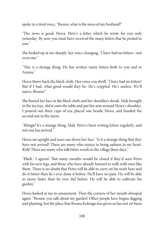spoke in a tired voice, "Bwana, what is the news of my husband?"

"The news is good, Hewa. Here's a letter which he wrote for you only yesterday. By now you must have received the many letters that he posted to you."

She looked up at me sharply, her voice changing, "I have had no letters—not even one."

"This is a strange thing. He has written many letters both to you and to Aramu."

Hewa threw back the black cloth. Her voice was shrill, "I have had no letters! But if I had, what good would they be. He's crippled. He's useless. We'll starve, Bwana!"

She buried her face in the black cloth and her shoulders shook. Mali brought in the tea tray, slid it onto the table and put her arm around Hewa's shoulder. I poured out three cups of tea, placed one beside Hewa, and handed the second one to the nurse.

"Hongo! It's a strange thing, Mali, Petro's been writing letters regularly, and not one has arrived."

Hewa sat upright and tears ran down her face. "Is it a strange thing that they have not arrived? There are many who rejoice to bring sadness to my heart. Koh! There are many who talk bitter words in the village these days."

"Eheh," I agreed. "But many mouths would be closed if they'd seen Petro with his new legs, and those who have already learned to walk with ones like them. There is no doubt that Petro will be able to carry on his work here and do it better than he's ever done it before. He'll have no pain. He will be able to move faster than he ever did before. He will be able to cultivate his garden."

Hewa looked at me in amazement. Then the corners of her mouth drooped again. "Bwana, you talk about my garden! Other people have begun digging and planting, but the place that Bwana Kolongo has given us has not yet been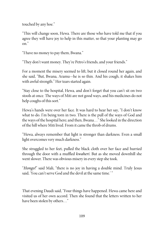touched by any hoe."

"This will change soon, Hewa. There are those who have told me that if you agree they will have joy to help in this matter, so that your planting may go on."

"I have no money to pay them, Bwana."

"They don't want money. They're Petro's friends, and your friends."

For a moment the misery seemed to lift, but it closed round her again, and she said, "But, Bwana, Aramu—he is so thin. And his cough, it shakes him with awful strength." Her tears started again.

"Stay close to the hospital, Hewa, and don't forget that you can't sit on two stools at once. The ways of Miti are not good ways, and his medicines do not help coughs of this sort."

Hewa's hands were over her face. It was hard to hear her say, "I don't know what to do. I'm being torn in two. There is the pull of the ways of God and the ways of the hospital here; and then, Bwana…" Shelooked in the direction of the hill where Miti lived. From itcamethethrob of drums.

"Hewa, always remember that light is stronger than darkness. Even a small light overcomes very much darkness."

She struggled to her feet, pulled the black cloth over her face and hurried through the door with a muffled kwaheri. But as she moved downhill she went slower. There was obvious misery in every step shetook.

"Hongo!" said Mali, "there is no joy in having a double mind. Truly Jesus said, 'You can't serve God and the devil at the same time.'"

That evening Daudi said, "Four things have happened. Hewa came here and visited us of her own accord. Then she found that the letters written to her have been stolen by others…"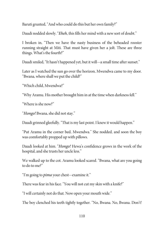Baruti grunted, "And who could do this but her own family?"

Daudi nodded slowly. "Eheh, this fills her mind with a new sort of doubt."

I broken in, "Then we have the nasty business of the beheaded rooster running straight at Miti. That must have given her a jolt. These are three things. What's the fourth?"

Daudi smiled, "It hasn't happened yet, but it will—a small time after sunset."

Later as I watched the sun go over the horizon, Mwendwa came to my door. "Bwana, where shall we put the child?"

"Which child, Mwendwa?"

"Why Aramu. His mother brought him in at the time when darkness fell."

"Whereis she now?"

"Hongo! Bwana, she did not stay."

Daudi grinned gleefully. "That is my last point. I knew it would happen."

"Put Aramu in the corner bed, Mwendwa." She nodded, and soon the boy was comfortably propped up with pillows.

Daudi looked at him. "Hongo! Hewa's confidence grows in the work of the hospital, and she trusts her uncle less."

We walked up to the cot. Aramu looked scared. "Bwana, what are you going to do to me?"

"I'm going to *pima* your chest—examine it."

There was fear in his face. "You will not cut my skin with a knife?"

"I will certainly not do that. Now open your mouth wide."

The boy clenched his teeth tightly together. "No, Bwana. No, Bwana. Don't!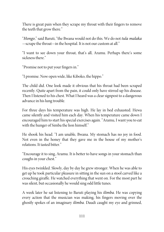There is great pain when they scrape my throat with their fingers to remove the teeth that grow there."

"Hongo," said Baruti, "the Bwana would not do this. We do not tula malaka —scrape the throat—in the hospital. It is not our custom at all."

"I want to see down your throat, that's all, Aramu. Perhaps there's some sickness there."

"Promise not to put your fingers in."

"I promise. Now open wide, like Kiboko, the hippo."

The child did. One look made it obvious that his throat had been scraped recently. Quite apart from the pain, it could only have stirred up his disease. Then I listened to his chest. What I heard was a clear signpost to a dangerous advance in his lung trouble.

For three days his temperature was high. He lay in bed exhausted. Hewa came silently and visited him each day. When his temperature came down I encouraged him to start his special exercises again. "Aramu, I want you to eat with the hunger of Simba the lion himself."

He shook his head. "I am unable, Bwana. My stomach has no joy in food. Not even in the honey that they gave me in the house of my mother's relations. It tasted bitter."

"Encourage it to sing, Aramu. It is better to have songs in your stomach than coughs in your chest."

His eyes twinkled. Slowly, day by day he grew stronger. When he was able to get up he took particular pleasure in sitting in the sun on a stool carved like a crouching giraffe. He watched everything that went on. For the most part he was silent, but occasionally he would sing odd little tunes.

A week later he sat listening to Baruti playing his ilimba. He was copying every action that the musician was making, his fingers moving over the ghostly spokes of an imaginary ilimba. Daudi caught my eye and grinned,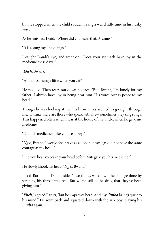but he stopped when the child suddenly sang a weird little tune in his husky voice.

As hefinished, I said, "Where did you learn that, Aramu?"

"It is a song my uncle sings."

I caught Daudi's eye, and went on, "Does your stomach have joy in the medicine these days?"

"Eheh, Bwana."

"And does it sing a little when you eat?"

He nodded. Then tears ran down his face. "But, Bwana, I'm lonely for my father. I always have joy in being near him. His voice brings peace to my head."

Though he was looking at me, his brown eyes seemed to go right through me. "Bwana, there are those who speak with me—sometimes they sing songs. This happened often when I was at the house of my uncle, when he gave me medicine<sup>"</sup>

"Did this medicine make you feel dizzy?"

" $Ng$ " $\alpha$ , Bwana. I would feel brave as a lion, but my legs did not have the same courage as my head."

"Did you hear voices in your head before Miti gave you his medicine?"

He slowly shook his head. "Ng'o, Bwana."

I took Baruti and Daudi aside. "Two things we know—the damage done by scraping his throat was real. But worse still is the drug that they've been giving him."

"Eheh," agreed Baruti, "but he improves here. And my *ilimba* brings quiet to his mind." He went back and squatted down with the sick boy, playing his ilimba again.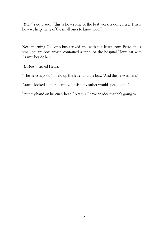"Koh!" said Daudi, "this is how some of the best work is done here. This is how we help many of the small ones to know God."

Next morning Gideon's bus arrived and with it a letter from Petro and a small square box, which contained a tape. At the hospital Hewa sat with Aramu beside her.

"Habari?" asked Hewa.

"The news is good." I held up theletter and the box. "And the news is here."

Aramu looked at me solemnly, "I wish my father would speak to me."

I put my hand on hiscurly head. "Aramu, I have an idea that he's going to."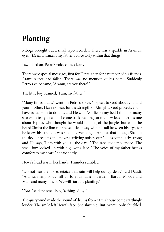## **Planting**

Mboga brought out a small tape-recorder. There was a sparkle in Aramu's eyes. "Heeh! Bwana, is my father's voice truly within that thing?"

I switched on. Petro's voice came clearly.

There were special messages, first for Hewa, then for a number of his friends. Aramu's face had fallen. There was no mention of his name. Suddenly Petro's voice came, "Aramu, are you there?"

The little boy beamed, "I am, my father."

"Many times a day," went on Petro's voice, "I speak to God about you and your mother. Have no fear, for the strength of Almighty God protects you. I have asked Him to do this, and He will. As I lie on my bed I think of many stories to tell you when I come back walking on my new legs. There is one about Hyena, who thought he would be king of the jungle, but when he heard Simba the lion roar he scuttled away with his tail between his legs, for he knew his strength was small. Never forget, Aramu, that though Shaitan the devil threatens and makes terrifying noises, our God iscompletely strong and He says, 'I am with you all the day.' " The tape suddenly ended. The small boy looked up with a glowing face. "The voice of my father brings comfort to my heart," he said softly.

Hewa's head was in her hands. Thunder rumbled.

"Do not fear the noise; rejoice that rain will help our gardens," said Daudi. "Aramu, many of us will go to your father's garden—Baruti, Mboga and Mali, and many others. We will start the planting."

"Yoh!" said the small boy, "a thing of joy."

The gusty wind made the sound of drums from Miti's house come startlingly louder. The smile left Hewa's face. She shivered. But Aramu only chuckled.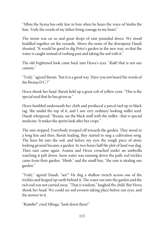"Mbisi the hyena has only fear in him when he hears the voice of Simba the lion. Truly the words of my father bring courage to my heart."

The storm was on us and great drops of rain pounded down. We stood huddled together on the veranda. Above the noise of the downpour Daudi shouted, "It would be good to dig Petro's garden in the new way, so that the water is caught instead of rushing past and taking the soil with it."

The old frightened look came back into Hewa's eyes. "*Kah!* that is not our custom."

"Truly," agreed Baruti, "but it is a good way. Have you not heard the words of the Bwana D.C.?"

Hewa shook her head. Baruti held up a great cob of yellow corn. "This is the special seed that he has given us."

Hewa fumbled underneath her cloth and produced a parcel tied up in black rag. She undid the top of it, and I saw very ordinary looking millet seed. Daudi whispered, "Bwana, see the black stuff with the millet—that is special medicine. It makes the spirits look after her crops."

The rain stopped. Everybody trooped off towards the garden. They stood in a long line and then, Baruti leading, they started to sing a cultivation song. The hoes bit into the soil, and before my eyes the rough piece of stony looking ground became a garden. In two hours half the plot of land was dug. Then rain came again. Aramu and Hewa crouched under an umbrella watching it pelt down. Soon water was running down the path; red trickles came from their garden. "Heeh," said the small boy, "the rain is stealing our garden."

"Truly," agreed Daudi, "see!" He dug a shallow trench across one of the trickles and heaped up earth behind it. The water ran into the garden and the rich soil was not carried away. "That is wisdom," laughed the child. But Hewa shook her head. We could see soil erosion taking place before our eyes, and the answer to it.

"Kumbe!" cried Mboga, "look down there!"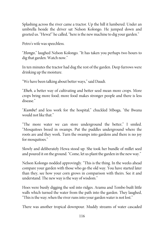Splashing across the river came a tractor. Up the hill it lumbered. Under an umbrella beside the driver sat Nelson Kolongo. He jumped down and greeted us. "Hewa!" he called, "here is the new machine to dig your garden."

Petro's wife was speechless.

"Hongo," laughed Nelson Kolongo. "It has taken you perhaps two hours to dig that garden. Watch now."

In ten minutes the tractor had dug the rest of the garden. Deep furrows were drinking up the moisture.

"We have been talking about better ways," said Daudi.

"Eheh, a better way of cultivating and better seed mean more crops. More crops bring more food; more food makes stronger people and there is less disease."

"Kumbe! and less work for the hospital," chuckled Mboga, "the Bwana would not like that."

"The more water we can store underground the better," I smiled. "Mosquitoes breed in swamps. Put the puddles underground where the roots are and they work. Turn the swamps into gardens and there is no joy for mosquitoes."

Slowly and deliberately Hewa stood up. She took her bundle of millet seed and poured it on the ground. "Come, let us plant the garden in the new way."

Nelson Kolongo nodded approvingly. "This is the thing. In the weeks ahead compare your garden with those who go the old way. You have started later than they, see how your corn grows in comparison with theirs. See it and understand. The new way is the way of wisdom."

Hoes were busily digging the soil into ridges. Aramu and Tembo built little walls which turned the water from the path into the garden. They laughed, "This is the way; when the river runs into your garden water is not lost."

There was another tropical downpour. Muddy streams of water cascaded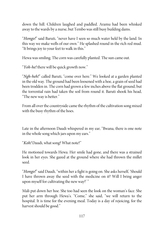down the hill. Children laughed and paddled. Aramu had been whisked away to the wards by a nurse, but Tembo was still busy building dams.

"Hongo!" said Baruti, "never have I seen so much water held by the land. In this way we make wells of our own." He splashed round in the rich red mud. "It brings joy to your feet to walk in this."

Hewa was smiling. The corn was carefully planted. The sun came out.

"Yoh-he! there will be quick growth now."

"Ngh-heh!" called Baruti, "come over here." We looked at a garden planted in the old way. The ground had been loosened with a hoe, a grain of seed had been trodden in. The corn had grown a few inches above the flat ground, but the torrential rain had taken the soil from round it. Baruti shook his head, "The new way is better."

From all over the countryside came the rhythm of the cultivation song mixed with the busy rhythm of the hoes.

Late in the afternoon Daudi whispered in my ear, "Bwana, there is one note in the whole song which jars upon my ears."

"Koh! Daudi, what song? What note?"

He motioned towards Hewa. Her smile had gone, and there was a strained look in her eyes. She gazed at the ground where she had thrown the millet seed.

"Hongo!" said Daudi, "within her a fight is going on. She asks herself, 'Should I have thrown away the seed with the medicine on it? Will I bring anger upon myself for cultivating the new way?'"

Mali put down her hoe. She too had seen the look on the woman's face. She put her arm through Hewa's. "Come," she said, "we will return to the hospital. It is time for the evening meal. Today is a day of rejoicing, for the harvest should be good."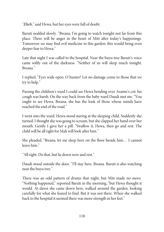"Eheh," said Hewa, but her eyes were full of doubt.

Baruti nodded slowly. "Bwana, I'm going to watch tonight not far from this place. There will be anger in the heart of Miti after today's happenings. Tomorrow we may find evil medicine in this garden; this would bring even deeper fear to Hewa."

Late that night I was called to the hospital. Near the buyu tree Baruti's voice came softly out of the darkness. "Neither of us will sleep much tonight, Bwana."

I replied, "Eyes wide open, O hunter! Let no damage come to those that we try to help."

Passing the children's ward I could see Hewa bending over Aramu's cot; his cough was harsh. On the way back from the baby ward Daudi met me. "You ought to see Hewa, Bwana, she has the look of those whose minds have reached the end of the road."

I went into the ward. Hewa stood staring at the sleeping child. Suddenly she turned; I thought she was going to scream, but sheclapped her hand over her mouth. Gently I gave her a pill. "Swallow it, Hewa, then go and rest. The child will be all right for Mali will look after him."

She pleaded, "Bwana, let me sleep here on the floor beside him… I cannot leave him."

"All right. Do that, but lie down now and rest."

Daudi stood outside the door. "I'll stay here, Bwana. Baruti is also watching near the buyu tree."

There was an odd pattern of drums that night, but Miti made no move. "Nothing happened," reported Baruti in the morning, "but Hewa thought it would. At dawn she came down here, walked around the garden, looking carefully for what she feared to find. But it was not there. When she walked back to the hospital it seemed there was more strength in her feet."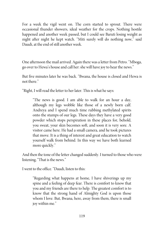For a week the vigil went on. The corn started to sprout. There were occasional thunder showers, ideal weather for the crops. Nothing hostile happened and another week passed, but I could see Baruti losing weight as night after night he kept watch. "Miti surely will do nothing now," said Daudi, at the end of still another week.

One afternoon the mail arrived. Again there was a letter from Petro. "Mboga, go over to Hewa's house and call her: she will havejoy to hear the news."

But five minutes later he was back. "Bwana, the house is closed and Hewa is not there."

"Right, I will read theletter to her later. This is what hesays:

"The news is good. I am able to walk for an hour a day, although my legs wobble like those of a newly born calf. Andreya and I spend much time rubbing methylated spirits onto the stumps of our legs. These days they have a very good powder which stops perspiration in these places for, behold, you sweat, your skin becomes soft, and soon it is very sore. A visitor came here. He had a small camera, and he took pictures that move. It is a thing of interest and great education to watch yourself walk from behind. In this way we have both learned more quickly."

And then the tone of the letter changed suddenly. I turned to those who were listening, "That is the news."

I went to the office. "Daudi, listen to this:

"Regarding what happens at home, I have shiverings up my spine and a feeling of deep fear. There is comfort to know that you and my friends are there to help. The greatest comfort is to know that the strong hand of Almighty God is upon those whom I love. But, Bwana, here, away from them, there is small joy within me."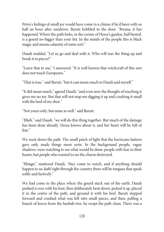Petro's feelings of small joy would have come to a climax if he'd been with us half an hour after sundown. Baruti hobbled to the door. "Bwana, it has happened. Where the path forks, in the corner of Hewa's garden, half buried, is a gourd no bigger than your fist. In the minds of the people this is black magic and means calamity of some sort."

Daudi nodded. "Let us go and deal with it. Who will tear the thing up and break it in pieces?"

"Leave that to me," I answered. "It is well known that witchcraft of this sort does not touch Europeans."

"That is true," said Baruti, "but it *can* mean much to Daudi and myself."

"It did mean much," agreed Daudi, "and even now the thought of touching it gives me no joy. But that will not stop me digging it up and crushing it small with the heel of my shoe."

"Not yours only, but mine as well," said Baruti.

"Eheh," said Daudi, "we will do this thing together. But much of the damage has been done already. Hewa knows about it, and her heart will be full of fear."

We went down the path. The small patch of light that the hurricane lantern gave only made things more eerie. In the background people, vague shadows, were watching to see what would be done; people with fear in their hearts, but people who wanted to see the charm destroyed.

"Hongo," muttered Daudi, "they come to watch, and if anything should happen to us, *kah!* right through the country there will be tongues that speak softly and furtively."

We had come to the place where the gourd stuck out of the earth. Daudi pushed it over with his foot, then deliberately bent down, picked it up, placed it in the centre of the path, and ground it with his heel. Baruti stepped forward and crushed what was left into small pieces, and then, pulling a bunch of leaves from the baobab tree, he swept the path clean. There was a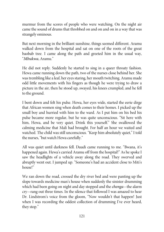murmur from the scores of people who were watching. On the night air came the sound of drums that throbbed on and on and on in a way that was strangely ominous.

But next morning in the brilliant sunshine, things seemed different. Aramu walked down from the hospital and sat on one of the roots of the great baobab tree. I came along the path and greeted him in the usual way, "Mbukwa, Aramu."

He did not reply. Suddenly he started to sing in a queer throaty fashion. Hewa came running down the path, two of the nurses close behind her. She was trembling like a leaf, her eyes staring, her mouth twitching. Aramu made odd little movements with his fingers as though he were trying to draw a picture in the air, then he stood up, swayed, his knees crumpled, and he fell to the ground.

I bent down and felt his pulse. Hewa, her eyes wide, started the eerie dirge that African women sing when death comes to their homes. I picked up the small boy and hurried with him to the ward. As I put him on his bed his pulse became more regular, but he was quite unconscious. "Sit here with him, Hewa, and be very quiet. Drink this yourself." She swallowed the calming medicine that Mali had brought. For half an hour we waited and watched. The child was still unconscious. "Keep him absolutely quiet," I told the nurses, "but watch Hewa carefully."

All was quiet until darkness fell. Daudi came running to me. "Bwana, it's happened again. Hewa's carried Aramu off from the hospital!" As he spoke I saw the headlights of a vehicle away along the road. They swerved and abruptly went out. I jumped up. "Someone's had an accident close to Miti's house!"

We ran down the road, crossed the dry river bed and were panting up the slope towards medicine man's house when suddenly the sinister drumming which had been going on night and day stopped and the *chenga*—the alarm cry—rang out three times. In the silence that followed I was amazed to hear Dr. Lindstrom's voice from the gloom, "Now wouldn't that happen! Just when I was recording the oddest collection of drumming I've ever heard, they stop."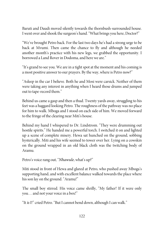Baruti and Daudi moved silently towards the thornbush-surrounded house. I went over and shook the surgeon's hand. "What brings you here, Doctor?"

"We've brought Petro back. For the last two days he's had a strong urge to be back at Mvumi. Then came the chance to fly and although he needed another month's practice with his new legs, we grabbed the opportunity. I borrowed a Land Rover in Dodoma, and here we are."

"It's grand to see you. We arein a tight spot at the moment and hiscoming is a most positive answer to our prayers. By the way, where is Petro now?"

"Asleep in the car I believe. Both he and Mosi were carsick. Neither of them were taking any interest in anything when I heard those drums and jumped out to tape-record them."

Behind us came a gasp and then a thud. Twenty yards away, struggling to his feet was a haggard looking Petro. The roughness of the pathway was no place for him to walk. Mboga and I stood on each side of him. We moved forward to the fringe of the clearing near Miti's house.

Behind my hand I whispered to Dr. Lindstrom. "They were drumming out hostile spirits." He handed me a powerful torch. I switched it on and lighted up a scene of complete misery. Hewa sat hunched on the ground, sobbing hysterically. Miti and his wife seemed to tower over her. Lying on a cowskin on the ground wrapped in an old black cloth was the twitching body of Aramu.

Petro's voice rang out, "Nhawule, what's up?"

Miti stood in front of Hewa and glared at Petro, who pushed away Mboga's supporting hand, and with excellent balance walked towards the place where his son lay on the ground. "Aramu!"

The small boy stirred. His voice came shrilly, "My father! If it were only you... and not your voice in a box!"

"It is I!" cried Petro. "But I cannot bend down, although I can walk."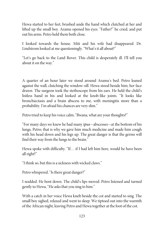Hewa started to her feet, brushed aside the hand which clutched at her and lifted up the small boy. Aramu opened his eyes. "Father!" he cried, and put out his arms. Petro held them both close.

I looked towards the house. Miti and his wife had disappeared. Dr. Lindstrom looked at me questioningly. "What's it all about?"

"Let's go back to the Land Rover. This child is desperately ill. I'll tell you about it on the way."

A quarter of an hour later we stood around Aramu's bed. Petro leaned against the wall, clutching the window-sill. Hewa stood beside him, her face drawn. The surgeon took the stethoscope from his ears. He held the child's listless hand in his and looked at the knob-like joints. "It looks like bronchiectasis and a brain abscess to me, with meningitis more than a probability. I'm afraid hischances are very slim."

Petro tried to keep his voice calm, "Bwana, what are your thoughts?"

"For many days we knew he had many ipus—abscesses—at the bottom of his lungs, Petro; that is why we gave him much medicine and made him cough with his head down and his legs up. The great danger is that the germs will find their way from the lungs to the brain."

Hewa spoke with difficulty. "If… if I had left him here, would he have been all right?"

"I think so, but this is a sickness with wicked claws."

Petro whispered, "Is there great danger?"

I nodded. He bent down. The child's lips moved. Petro listened and turned gently to Hewa, "He asks that you sing to him."

With a catch in her voice Hewa knelt beside the cot and started to sing. The small boy sighed, relaxed and went to sleep. We tiptoed out into the warmth of the African night, leaving Petro and Hewa together at the foot of the cot.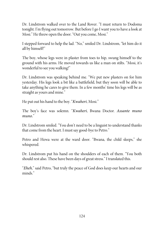Dr. Lindstrom walked over to the Land Rover. "I must return to Dodoma tonight. I'm flying out tomorrow. But beforeI go I want you to have a look at Mosi." He threw open the door. "Out you come, Mosi."

I stepped forward to help the lad. "No," smiled Dr. Lindstrom, "let him do it all by himself!"

The boy, whose legs were in plaster from toes to hip, swung himself to the ground with his arms. He moved towards us like a man on stilts. "Mosi, it's wonderful to see you walking!"

Dr. Lindstrom was speaking behind me. "We put new plasters on for him yesterday. His legs look a bit like a battlefield, but they soon will be able to take anything he cares to give them. In a few months' time his legs will be as straight as yours and mine."

He put out his hand to the boy. "Kwaheri, Mosi."

The boy's face was solemn. "Kwaheri, Bwana Doctor. Assante muno muno<sup>"</sup>

Dr. Lindstrom smiled. "You don't need to be a linguist to understand thanks that come from the heart. I must say good-bye to Petro."

Petro and Hewa were at the ward door. "Bwana, the child sleeps," she whispered.

Dr. Lindstrom put his hand on the shoulders of each of them. "You both should rest also. These have been days of great stress." I translated this.

"Eheh," said Petro, "but truly the peace of God does keep our hearts and our minds."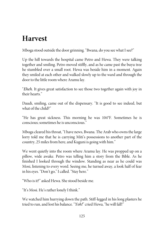## **Harvest**

Mboga stood outside the door grinning. "Bwana, do you see what I see?"

Up the hill towards the hospital came Petro and Hewa. They were talking together and smiling. Petro moved stiffly, and as he came past the buyu tree he stumbled over a small root. Hewa was beside him in a moment. Again they smiled at each other and walked slowly up to the ward and through the door to the little room where Aramu lay.

"Eheh. It gives great satisfaction to see those two together again with joy in their hearts."

Daudi, smiling, came out of the dispensary. "It is good to see indeed, but what of the child?"

"He has great sickness. This morning he was 104°F. Sometimes he is conscious; sometimes heis unconscious."

Mboga cleared his throat, "I have news, Bwana. The Arab who owns thelarge lorry told me that he is carrying Miti's possessions to another part of the country, 25 miles from here, and Kuguni is going with him."

We went quietly into the room where Aramu lay. He was propped up on a pillow, wide awake. Petro was telling him a story from the Bible. As he finished I looked through the window. Standing as near as he could was Mosi, listening to every word. Seeing me, he turned away, a look half of fear in his eyes. "Don't go," I called. "Stay here."

"Who is it?" asked Hewa. She stood beside me.

"It's Mosi. He's rather lonely I think."

We watched him hurrying down the path. Stiff-legged in his long plasters he tried to run, and lost his balance. "Yoh!" cried Hewa, "he will fall!"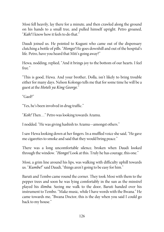Mosi fell heavily, lay there for a minute, and then crawled along the ground on his hands to a small tree, and pulled himself upright. Petro groaned, "Kah! I know how it feels to do that."

Daudi joined us. He pointed to Kuguni who came out of the dispensary clutching a bottle of pills. "Hongo! He goes downhill and out of the hospital's life. Petro, have you heard that Miti's going away?"

Hewa, nodding, replied, "And it brings joy to the bottom of our hearts. I feel free."

"This is good, Hewa. And your brother, Dolla, isn't likely to bring trouble either for many days. Nelson Kolongo tells methat for sometime he will be a guest at the Hoteli ya King George."

"Gaol?"

"Yes, he's been involved in drug traffic."

"Koh! Then…" Petro was looking towards Aramu.

I nodded. "He was giving hashish to Aramu—amongst others."

I saw Hewa looking down at her fingers. In a muffled voice she said, "He gave mecigarettes to smoke and said that they would bring peace."

There was a long uncomfortable silence, broken when Daudi looked through the window. "Hongo! Look at this. Truly he has courage, this one."

Mosi, a grim line around his lips, was walking with difficulty uphill towards us. "Kumbe!" said Daudi, "things aren't going to be easy for him."

Baruti and Tembo came round the corner. They took Mosi with them to the pepper trees and soon he was lying comfortably in the sun as the minstrel played his ilimba. Seeing me walk to the door, Baruti handed over his instrument to Tembo. "Make music, while I have words with the Bwana." He came towards me, "Bwana Doctor, this is the day when you said I could go back to my house."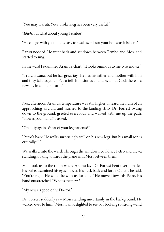"You may, Baruti. Your broken leg has been very useful."

"Eheh, but what about young Tembo?"

"He can go with you. It is as easy to swallow pills at your house as it is here."

Baruti nodded. He went back and sat down between Tembo and Mosi and started to sing.

In the ward Iexamined Aramu'schart. "It looks ominous to me, Mwendwa."

"Truly, Bwana, but he has great joy. He has his father and mother with him and they talk together. Petro tells him stories and talks about God; there is a new joy in all their hearts."

Next afternoon Aramu's temperature was still higher. I heard the hum of an approaching aircraft, and hurried to the landing strip. Dr. Forrest swung down to the ground, greeted everybody and walked with me up the path. "How is your hand?" I asked.

"On duty again. What of your leg patients?"

"Petro's back. He walks surprisingly well on his new legs. But his small son is critically ill."

We walked into the ward. Through the window I could see Petro and Hewa standing looking towards the plane with Mosi between them.

Mali took us to the room where Aramu lay. Dr. Forrest bent over him, felt his pulse, examined his eyes, moved his neck back and forth. Quietly he said, "You're right. He won't be with us for long." He moved towards Petro, his hand outstretched, "What's the news?"

"My news is good only, Doctor."

Dr. Forrest suddenly saw Mosi standing uncertainly in the background. He walked over to him. "Mosi! I am delighted to see you looking so strong—and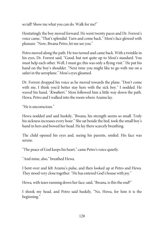so tall! Show me what you can do. Walk for me!"

Hesitatingly the boy moved forward. He went twenty paces and Dr. Forrest's voice came, "That's splendid. Turn and come back." Mosi's face glowed with pleasure. "Now, Bwana Petro, let mesee you."

Petro moved along the path. He too turned and came back. With a twinkle in his eyes, Dr. Forrest said, "Good, but not quite up to Mosi's standard. You must help each other. Well, I must go; this was only a flying visit." He put his hand on the boy's shoulder. "Next time you might like to go with me on a safari in the aeroplane." Mosi's eyes gleamed.

Dr. Forrest dropped his voice as he moved towards the plane. "Don't come with me, I think you'd better stay here with the sick boy." I nodded. He waved his hand, "Kwaheri." Mosi followed him a little way down the path. Hewa, Petro and I walked into the room where Aramu lay.

"Heis unconscious."

Hewa nodded and said huskily, "Bwana, his strength seems so small. Truly his sickness increases every hour." She sat beside the bed, took the small boy's hand in hers and bowed her head. He lay there scarcely breathing.

The child opened his eyes and, seeing his parents, smiled. His face was serene.

"The peace of God keeps his heart,"came Petro's voice quietly.

"And mine, also," breathed Hewa.

I bent over and felt Aramu's pulse, and then looked up at Petro and Hewa. They stood very close together. "He has entered God's house with joy."

Hewa, with tears running down her face, said, "Bwana, is this the end?"

I shook my head, and Petro said huskily, "No, Hewa, for him it is the beginning."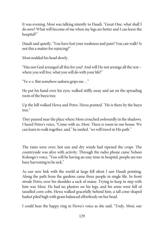It was evening. Mosi was talking intently to Daudi, "Great One, what shall I do now? What will become of me when my legs are better and I can leave the hospital?"

Daudi said quietly, "You have lost your weakness and pain? You can walk? Is not this a matter for rejoicing?"

Mosi nodded his head slowly.

"Has not God arranged all this for you? And will He not arrange all therest where you will live, what you will do with your life?"

"Ye-e-s. But somehow sadness grips me…"

He put his hand over his eyes, walked stiffly away and sat on the spreading roots of the buyu tree.

Up the hill walked Hewa and Petro. Hewa pointed. "He is there by the buyu tree."

They paused near the place where Mosi crouched awkwardly in the shadows. I heard Petro's voice, "Come with us, Mosi. There is room in our house. We can learn to walk together, and," hesmiled, "we will travel in His path."

The rains were over; hot sun and dry winds had ripened the crops. The countryside was alive with activity. Through the radio phone came Nelson Kolongo's voice, "You will be having an easy time in hospital, people are too busy harvesting to be sick."

As our new link with the world at large fell silent I saw Daudi pointing. Along the path from the gardens came three people in single file. In front strode Petro, over his shoulder a sack of maize. Trying to keep in step with him was Mosi. He had no plasters on his legs, and his arms were full of tasselled corn cobs. Hewa walked gracefully behind him, a tall cone-shaped basket piled high with grain balanced effortlessly on her head.

I could hear the happy ring in Hewa's voice as she said, "Truly, Mosi, our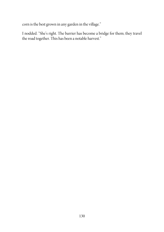corn is the best grown in any garden in the village."

I nodded. "She's right. The barrier has become a bridge for them; they travel the road together. This has been a notable harvest."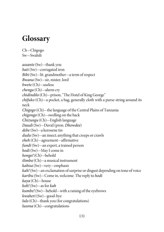## **Glossary**

Ch—Chigogo Sw—Swahili

assante (Sw)—thank you bati (Sw)—corrugated iron Bibi (Sw)—lit. grandmother—a term of respect Bwana (Sw)—sir, mister, lord bwete (Ch)—useless chenga (Ch)—alarm cry chidindilo (Ch)—prison, "The Hotel of King George" chifuko (Ch)—a pocket, a bag, generally cloth with a purse-string around its neck Chigogo (Ch)—the language of the Central Plains of Tanzania chigongo (Ch)—swelling on the back Chizungu (Ch)—English language Daudi (Sw)—David (pron. Dhowdee) debe (Sw)—a kerosene tin  $dudu$  (Sw)—an insect; anything that creeps or crawls eheh (Ch)—agreement—affirmative fundi (Sw)—an expert, a trained person  $hodi$  (Sw)—May I come in hongo! (Ch)—behold ilimba (Ch)—a musical instrument kabisa (Sw)—very—emphasis kah! (Sw)—an exclamation of surprise or disgust depending on tone of voice  $karibu$  (Sw)—Come in, welcome. The reply to *hodi* kaya (Ch)—house koh! (Sw)—as for kah  $kumbel$  (Sw)—behold—with a raising of the eyebrows kwaheri (Sw)—good-bye  $lulo$  (Ch)—thank you (for congratulations) lusona (Ch)—congratulations